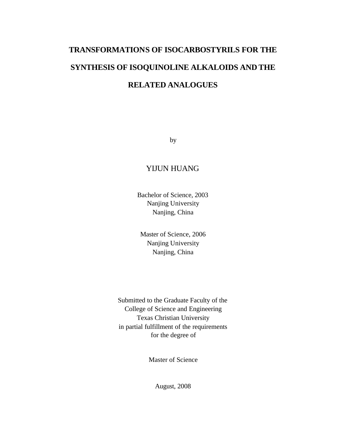# **TRANSFORMATIONS OF ISOCARBOSTYRILS FOR THE SYNTHESIS OF ISOQUINOLINE ALKALOIDS AND THE RELATED ANALOGUES**

by

### YIJUN HUANG

Bachelor of Science, 2003 Nanjing University Nanjing, China

Master of Science, 2006 Nanjing University Nanjing, China

Submitted to the Graduate Faculty of the College of Science and Engineering Texas Christian University in partial fulfillment of the requirements for the degree of

Master of Science

August, 2008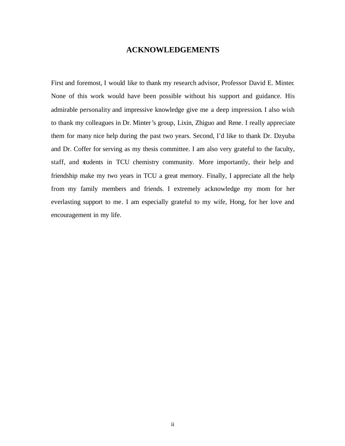#### **ACKNOWLEDGEMENTS**

First and foremost, I would like to thank my research advisor, Professor David E. Minter. None of this work would have been possible without his support and guidance. His admirable personality and impressive knowledge give me a deep impression. I also wish to thank my colleagues in Dr. Minter's group, Lixin, Zhiguo and Rene. I really appreciate them for many nice help during the past two years. Second, I'd like to thank Dr. Dzyuba and Dr. Coffer for serving as my thesis committee. I am also very grateful to the faculty, staff, and students in TCU chemistry community. More importantly, their help and friendship make my two years in TCU a great memory. Finally, I appreciate all the help from my family members and friends. I extremely acknowledge my mom for her everlasting support to me. I am especially grateful to my wife, Hong, for her love and encouragement in my life.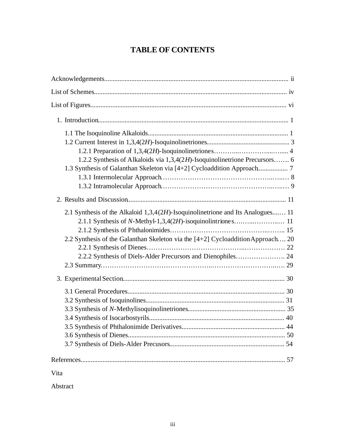## **TABLE OF CONTENTS**

| 1.2.2 Synthesis of Alkaloids via 1,3,4(2H)-Isoquinolinetrione Precursors 6                                                                                                                                                         |
|------------------------------------------------------------------------------------------------------------------------------------------------------------------------------------------------------------------------------------|
|                                                                                                                                                                                                                                    |
| 2.1 Synthesis of the Alkaloid 1,3,4(2H)-Isoquinolinetrione and Its Analogues 11<br>2.2 Synthesis of the Galanthan Skeleton via the [4+2] Cycloaddition Approach 20<br>2.2.2 Synthesis of Diels-Alder Precursors and Dienophiles 24 |
|                                                                                                                                                                                                                                    |
|                                                                                                                                                                                                                                    |
|                                                                                                                                                                                                                                    |
| Vita                                                                                                                                                                                                                               |

Abstract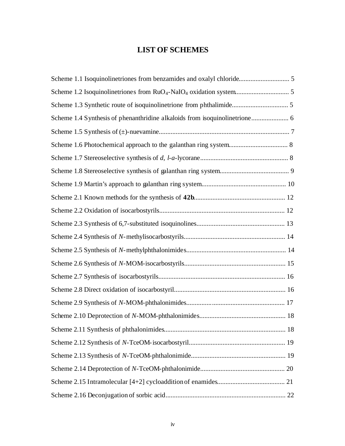### **LIST OF SCHEMES**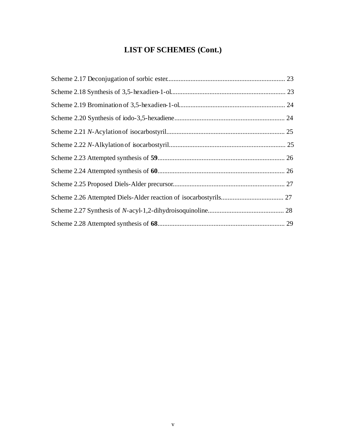# **LIST OF SCHEMES (Cont.)**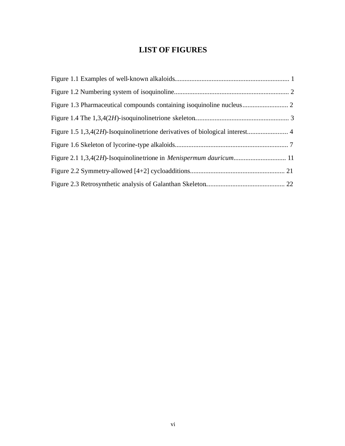## **LIST OF FIGURES**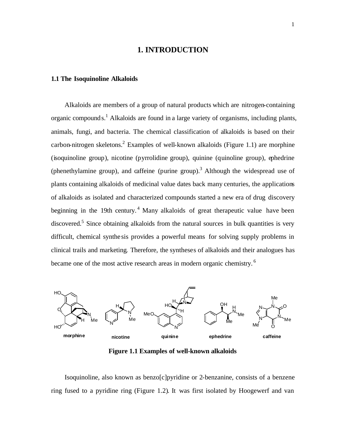#### **1. INTRODUCTION**

#### **1.1 The Isoquinoline Alkaloids**

 Alkaloids are members of a group of natural products which are nitrogen-containing organic compounds.<sup>1</sup> Alkaloids are found in a large variety of organisms, including plants, animals, fungi, and bacteria. The chemical classification of alkaloids is based on their carbon-nitrogen skeletons.<sup>2</sup> Examples of well-known alkaloids (Figure 1.1) are morphine (isoquinoline group), nicotine (pyrrolidine group), quinine (quinoline group), ephedrine (phenethylamine group), and caffeine (purine group).<sup>3</sup> Although the widespread use of plants containing alkaloids of medicinal value dates back many centuries, the applications of alkaloids as isolated and characterized compounds started a new era of drug discovery beginning in the 19th century.<sup>4</sup> Many alkaloids of great therapeutic value have been discovered.<sup>5</sup> Since obtaining alkaloids from the natural sources in bulk quantities is very difficult, chemical synthe sis provides a powerful means for solving supply problems in clinical trails and marketing. Therefore, the syntheses of alkaloids and their analogues has became one of the most active research areas in modern organic chemistry. <sup>6</sup>



**Figure 1.1 Examples of well-known alkaloids**

 Isoquinoline, also known as benzo[c]pyridine or 2-benzanine, consists of a benzene ring fused to a pyridine ring (Figure 1.2). It was first isolated by Hoogewerf and van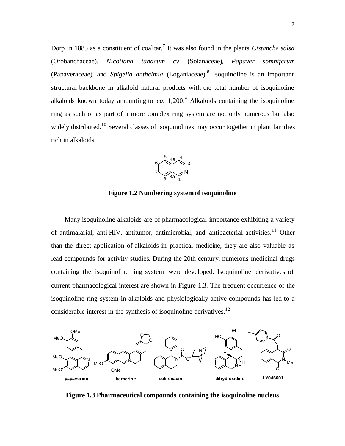Dorp in 1885 as a constituent of coal tar.<sup>7</sup> It was also found in the plants *Cistanche salsa* (Orobanchaceae), *Nicotiana tabacum cv* (Solanaceae), *Papaver somniferum* (Papaveraceae), and *Spigelia anthelmia* (Loganiaceae). 8 Isoquinoline is an important structural backbone in alkaloid natural products with the total number of isoquinoline alkaloids known today amounting to  $ca. 1,200.9$  Alkaloids containing the isoquinoline ring as such or as part of a more complex ring system are not only numerous but also widely distributed.<sup>10</sup> Several classes of isoquinolines may occur together in plant families rich in alkaloids.



**Figure 1.2 Numbering systemof isoquinoline**

Many isoquinoline alkaloids are of pharmacological importance exhibiting a variety of antimalarial, anti-HIV, antitumor, antimicrobial, and antibacterial activities.<sup>11</sup> Other than the direct application of alkaloids in practical medicine, they are also valuable as lead compounds for activity studies. During the 20th century, numerous medicinal drugs containing the isoquinoline ring system were developed. Isoquinoline derivatives of current pharmacological interest are shown in Figure 1.3. The frequent occurrence of the isoquinoline ring system in alkaloids and physiologically active compounds has led to a considerable interest in the synthesis of isoquinoline derivatives.<sup>12</sup>



**Figure 1.3 Pharmaceutical compounds containing the isoquinoline nucleus**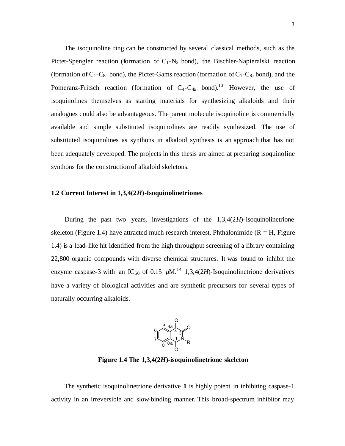The isoquinoline ring can be constructed by several classical methods, such as the Pictet-Spengler reaction (formation of  $C_1-N_2$  bond), the Bischler-Napieralski reaction (formation of  $C_1$ -C<sub>8a</sub> bond), the Pictet-Gams reaction (formation of  $C_1$ -C<sub>8a</sub> bond), and the Pomeranz-Fritsch reaction (formation of  $C_4$ - $C_{4a}$  bond).<sup>13</sup> However, the use of isoquinolines themselves as starting materials for synthesizing alkaloids and their analogues could also be advantageous. The parent molecule isoquinoline is commercially available and simple substituted isoquinolines are readily synthesized. The use of substituted isoquinolines as synthons in alkaloid synthesis is an approach that has not been adequately developed. The projects in this thesis are aimed at preparing isoquinoline synthons for the construction of alkaloid skeletons.

#### **1.2 Current Interest in 1,3,4(2***H***)-Isoquinolinetriones**

 During the past two years, investigations of the 1,3,4(2*H*)-isoquinolinetrione skeleton (Figure 1.4) have attracted much research interest. Phthalonimide ( $R = H$ , Figure 1.4) is a lead-like hit identified from the high throughput screening of a library containing 22,800 organic compounds with diverse chemical structures. It was found to inhibit the enzyme caspase-3 with an IC<sub>50</sub> of 0.15  $\mu$ M.<sup>14</sup> 1,3,4(2*H*)-Isoquinolinetrione derivatives have a variety of biological activities and are synthetic precursors for several types of naturally occurring alkaloids.



**Figure 1.4 The 1,3,4(2***H***)-isoquinolinetrione skeleton**

 The synthetic isoquinolinetrione derivative **1** is highly potent in inhibiting caspase-1 activity in an irreversible and slow-binding manner. This broad-spectrum inhibitor may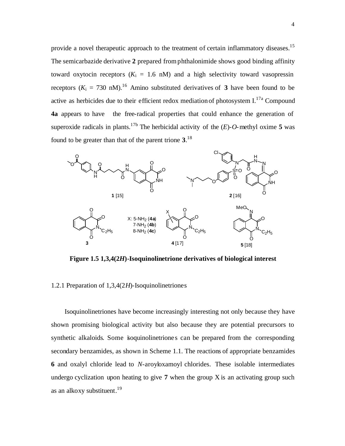provide a novel therapeutic approach to the treatment of certain inflammatory diseases.<sup>15</sup> The semicarbazide derivative **2** prepared from phthalonimide shows good binding affinity toward oxytocin receptors  $(K<sub>i</sub> = 1.6$  nM) and a high selectivity toward vasopressin receptors  $(K_i = 730 \text{ nM})$ .<sup>16</sup> Amino substituted derivatives of **3** have been found to be active as herbicides due to their efficient redox mediation of photosystem I.<sup>17a</sup> Compound **4a** appears to have the free-radical properties that could enhance the generation of superoxide radicals in plants.<sup>17b</sup> The herbicidal activity of the  $(E)$ -*O*-methyl oxime 5 was found to be greater than that of the parent trione **3**. 18



**Figure 1.5 1,3,4(2***H***)-Isoquinolinetrione derivatives of biological interest**

#### 1.2.1 Preparation of 1,3,4(2*H*)-Isoquinolinetriones

 Isoquinolinetriones have become increasingly interesting not only because they have shown promising biological activity but also because they are potential precursors to synthetic alkaloids. Some isoquinolinetriones can be prepared from the corresponding secondary benzamides, as shown in Scheme 1.1. The reactions of appropriate benzamides **6** and oxalyl chloride lead to *N*-aroyloxamoyl chlorides. These isolable intermediates undergo cyclization upon heating to give **7** when the group X is an activating group such as an alkoxy substituent. 19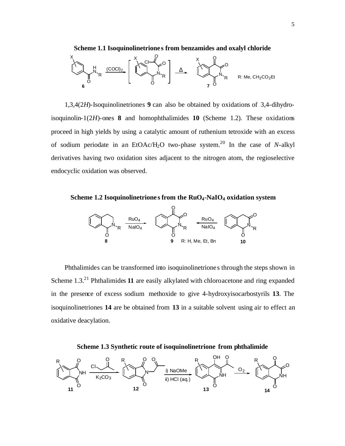

 1,3,4(2*H*)-Isoquinolinetriones **9** can also be obtained by oxidations of 3,4-dihydroisoquinolin-1(2*H*)-ones **8** and homophthalimides **10** (Scheme 1.2). These oxidations proceed in high yields by using a catalytic amount of ruthenium tetroxide with an excess of sodium periodate in an EtOAc/H<sub>2</sub>O two-phase system.<sup>20</sup> In the case of *N*-alkyl derivatives having two oxidation sites adjacent to the nitrogen atom, the regioselective endocyclic oxidation was observed.

**Scheme 1.2 Isoquinolinetrione s from the RuO4-NaIO4 oxidation system**



 Phthalimides can be transformed into isoquinolinetrione s through the steps shown in Scheme 1.3.<sup>21</sup> Phthalimides 11 are easily alkylated with chloroacetone and ring expanded in the presence of excess sodium methoxide to give 4-hydroxyisocarbostyrils **13**. The isoquinolinetriones **14** are be obtained from **13** in a suitable solvent using air to effect an oxidative deacylation.



**Scheme 1.3 Synthetic route of isoquinolinetrione from phthalimide**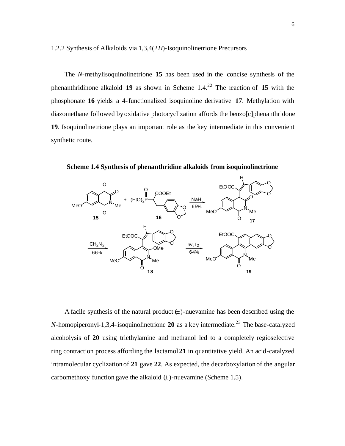1.2.2 Synthesis of Alkaloids via 1,3,4(2*H*)-Isoquinolinetrione Precursors

 The *N*-methylisoquinolinetrione **15** has been used in the concise synthesis of the phenanthridinone alkaloid **19** as shown in Scheme  $1.4^{22}$  The reaction of **15** with the phosphonate **16** yields a 4-functionalized isoquinoline derivative **17**. Methylation with diazomethane followed by oxidative photocyclization affords the benzo[c]phenanthridone **19**. Isoquinolinetrione plays an important role as the key intermediate in this convenient synthetic route.

**Scheme 1.4 Synthesis of phenanthridine alkaloids from isoquinolinetrione**



A facile synthesis of the natural product  $(\pm)$ -nuevamine has been described using the *N*-homopiperonyl-1,3,4-isoquinolinetrione **20** as a key intermediate.<sup>23</sup> The base-catalyzed alcoholysis of **20** using triethylamine and methanol led to a completely regioselective ring contraction process affording the lactamol **21** in quantitative yield. An acid-catalyzed intramolecular cyclization of **21** gave **22**. As expected, the decarboxylation of the angular carbomethoxy function gave the alkaloid  $(\pm)$ -nuevamine (Scheme 1.5).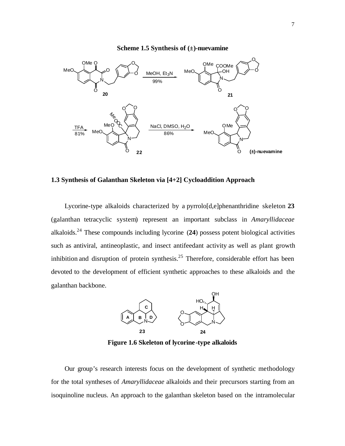#### **Scheme 1.5 Synthesis of (±)-nuevamine**



#### **1.3 Synthesis of Galanthan Skeleton via [4+2] Cycloaddition Approach**

 Lycorine-type alkaloids characterized by a pyrrolo[d,e]phenanthridine skeleton **23** (galanthan tetracyclic system) represent an important subclass in *Amaryllidaceae* alkaloids.<sup>24</sup> These compounds including lycorine (**24**) possess potent biological activities such as antiviral, antineoplastic, and insect antifeedant activity as well as plant growth inhibition and disruption of protein synthesis.<sup>25</sup> Therefore, considerable effort has been devoted to the development of efficient synthetic approaches to these alkaloids and the galanthan backbone.



**Figure 1.6 Skeleton of lycorine-type alkaloids**

 Our group's research interests focus on the development of synthetic methodology for the total syntheses of *Amaryllidaceae* alkaloids and their precursors starting from an isoquinoline nucleus. An approach to the galanthan skeleton based on the intramolecular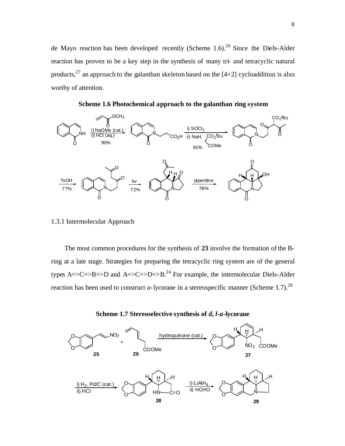de Mayo reaction has been developed recently (Scheme 1.6).<sup>26</sup> Since the Diels-Alder reaction has proven to be a key step in the synthesis of many tri- and tetracyclic natural products,<sup>27</sup> an approach to the galanthan skeleton based on the  $[4+2]$  cycloaddition is also worthy of attention.

NH O  $OCH<sub>3</sub>$ O i) NaOMe (cat.) ii) HCl (aq.) 90% N O  $\overline{\textsf{CO}_2}$ H  $\,$ ii) NaH,  $\,$ C $\overline{\textsf{CO}_2}}$ *<sup>t</sup>*Bu COMe i) SOCl<sub>2</sub> 91% N O O CO2 *<sup>t</sup>*Bu O TsOH 77% N O O O N O O  $H$  H  $H$ N Q, O 9 H H h*v* 72% 78% piperdine

**Scheme 1.6 Photochemical approach to the galanthan ring system**

#### 1.3.1 Intermolecular Approach

 The most common procedures for the synthesis of **23** involve the formation of the Bring at a late stage. Strategies for preparing the tetracyclic ring system are of the general types A=>C=>B=>D and A=>C=>D=>B.<sup>24</sup> For example, the intermolecular Diels-Alder reaction has been used to construct *a*-lycorane in a stereospecific manner (Scheme 1.7).<sup>28</sup>



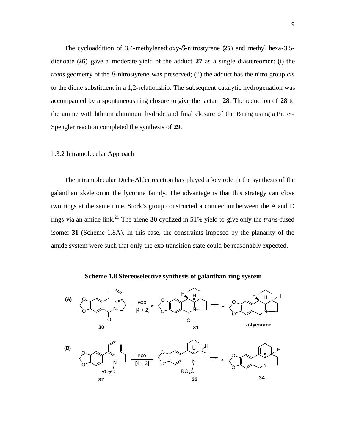The cycloaddition of 3,4-methylenedioxy-*ß*-nitrostyrene (**25**) and methyl hexa-3,5 dienoate (**26**) gave a moderate yield of the adduct **27** as a single diastereomer: (i) the *trans* geometry of the *ß*-nitrostyrene was preserved; (ii) the adduct has the nitro group *cis* to the diene substituent in a 1,2-relationship. The subsequent catalytic hydrogenation was accompanied by a spontaneous ring closure to give the lactam **28**. The reduction of **28** to the amine with lithium aluminum hydride and final closure of the B-ring using a Pictet-Spengler reaction completed the synthesis of **29**.

#### 1.3.2 Intramolecular Approach

 The intramolecular Diels-Alder reaction has played a key role in the synthesis of the galanthan skeleton in the lycorine family. The advantage is that this strategy can close two rings at the same time. Stork's group constructed a connection between the A and D rings via an amide link.<sup>29</sup> The triene **30** cyclized in 51% yield to give only the *trans*-fused isomer **31** (Scheme 1.8A). In this case, the constraints imposed by the planarity of the amide system were such that only the exo transition state could be reasonably expected.



**Scheme 1.8 Stereoselective synthesis of galanthan ring system**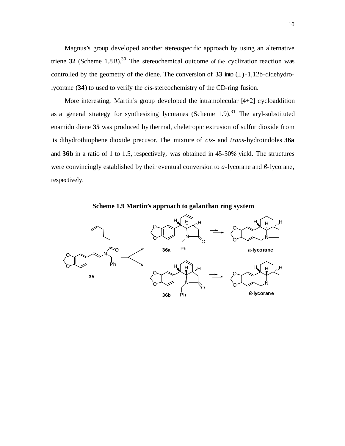Magnus's group developed another stereospecific approach by using an alternative triene  $32$  (Scheme 1.8B).<sup>30</sup> The stereochemical outcome of the cyclization reaction was controlled by the geometry of the diene. The conversion of **33** into  $(\pm)$ -1,12b-didehydrolycorane (**34**) to used to verify the *cis*-stereochemistry of the CD-ring fusion.

More interesting, Martin's group developed the intramolecular [4+2] cycloaddition as a general strategy for synthesizing lycoranes (Scheme  $1.9$ ).<sup>31</sup> The aryl-substituted enamido diene **35** was produced by thermal, cheletropic extrusion of sulfur dioxide from its dihydrothiophene dioxide precusor. The mixture of *cis*- and *trans*-hydroindoles **36a** and **36b** in a ratio of 1 to 1.5, respectively, was obtained in 45-50% yield. The structures were convincingly established by their eventual conversion to *a*-lycorane and *ß*-lycorane, respectively.



**Scheme 1.9 Martin's approach to galanthan ring system**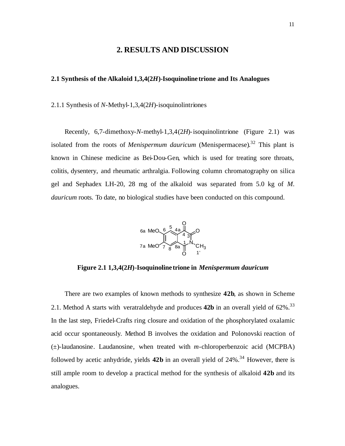#### **2. RESULTS AND DISCUSSION**

#### **2.1 Synthesis of the Alkaloid 1,3,4(2***H***)-Isoquinoline trione and Its Analogues**

2.1.1 Synthesis of *N*-Methyl-1,3,4(2*H*)-isoquinolintriones

 Recently, 6,7-dimethoxy-*N*-methyl-1,3,4(2*H*)-isoquinolintrione (Figure 2.1) was isolated from the roots of *Menispermum dauricum* (Menispermacese). <sup>32</sup> This plant is known in Chinese medicine as Bei-Dou-Gen, which is used for treating sore throats, colitis, dysentery, and rheumatic arthralgia. Following column chromatography on silica gel and Sephadex LH-20, 28 mg of the alkaloid was separated from 5.0 kg of *M. dauricum* roots. To date, no biological studies have been conducted on this compound.



**Figure 2.1 1,3,4(2***H***)-Isoquinoline trione in** *Menispermum dauricum*

There are two examples of known methods to synthesize **42b**, as shown in Scheme 2.1. Method A starts with veratraldehyde and produces **42b** in an overall yield of 62%.<sup>33</sup> In the last step, Friedel-Crafts ring closure and oxidation of the phosphorylated oxalamic acid occur spontaneously. Method B involves the oxidation and Polonovski reaction of (±)-laudanosine. Laudanosine, when treated with *m*-chloroperbenzoic acid (MCPBA) followed by acetic anhydride, yields **42b** in an overall yield of 24%.<sup>34</sup> However, there is still ample room to develop a practical method for the synthesis of alkaloid **42b** and its analogues.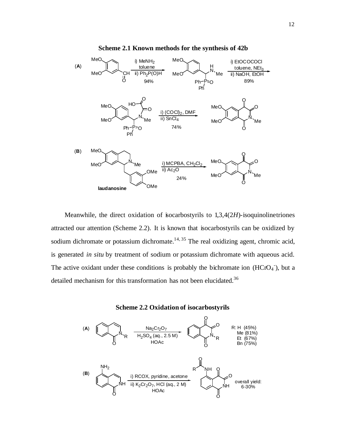

**Scheme 2.1 Known methods for the synthesis of 42b**

Meanwhile, the direct oxidation of isocarbostyrils to 1,3,4(2*H*)-isoquinolinetriones attracted our attention (Scheme 2.2). It is known that isocarbostyrils can be oxidized by sodium dichromate or potassium dichromate.<sup>14, 35</sup> The real oxidizing agent, chromic acid, is generated *in situ* by treatment of sodium or potassium dichromate with aqueous acid. The active oxidant under these conditions is probably the bichromate ion  $(HCrO<sub>4</sub>)$ , but a detailed mechanism for this transformation has not been elucidated.<sup>36</sup>



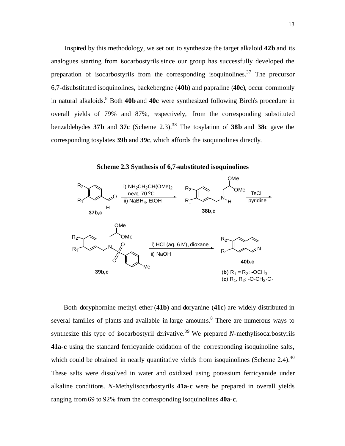Inspired by this methodology, we set out to synthesize the target alkaloid **42b** and its analogues starting from isocarbostyrils since our group has successfully developed the preparation of isocarbostyrils from the corresponding isoquinolines.<sup>37</sup> The precursor 6,7-disubstituted isoquinolines, backebergine (**40b**) and papraline (**40c**), occur commonly in natural alkaloids.<sup>8</sup> Both **40b** and **40c** were synthesized following Birch's procedure in overall yields of 79% and 87%, respectively, from the corresponding substituted benzaldehydes **37b** and **37c** (Scheme 2.3).<sup>38</sup> The tosylation of **38b** and **38c** gave the corresponding tosylates **39b** and **39c**, which affords the isoquinolines directly.

**Scheme 2.3 Synthesis of 6,7-substituted isoquinolines**



 Both doryphornine methyl ether (**41b**) and doryanine (**41c**) are widely distributed in several families of plants and available in large amounts.<sup>8</sup> There are numerous ways to synthesize this type of isocarbostyril derivative. <sup>39</sup> We prepared *N*-methylisocarbostyrils **41a**-**c** using the standard ferricyanide oxidation of the corresponding isoquinoline salts, which could be obtained in nearly quantitative yields from isoquinolines (Scheme 2.4). $40$ These salts were dissolved in water and oxidized using potassium ferricyanide under alkaline conditions. *N*-Methylisocarbostyrils **41a**-**c** were be prepared in overall yields ranging from 69 to 92% from the corresponding isoquinolines **40a**-**c**.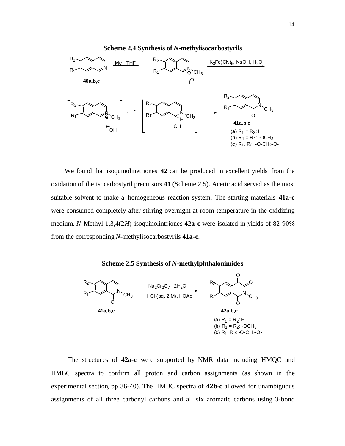

 We found that isoquinolinetriones **42** can be produced in excellent yields from the oxidation of the isocarbostyril precursors **41** (Scheme 2.5). Acetic acid served as the most suitable solvent to make a homogeneous reaction system. The starting materials **41a**-**c** were consumed completely after stirring overnight at room temperature in the oxidizing medium. *N*-Methyl-1,3,4(2*H*)-isoquinolintriones **42a**-**c** were isolated in yields of 82-90% from the corresponding *N*-methylisocarbostyrils **41a**-**c**.





 The structures of **42a**-**c** were supported by NMR data including HMQC and HMBC spectra to confirm all proton and carbon assignments (as shown in the experimental section, pp 36-40). The HMBC spectra of **42b-c** allowed for unambiguous assignments of all three carbonyl carbons and all six aromatic carbons using 3-bond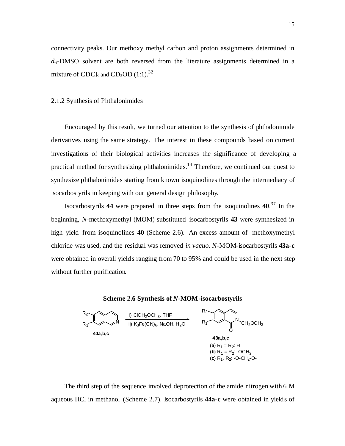connectivity peaks. Our methoxy methyl carbon and proton assignments determined in  $d_6$ -DMSO solvent are both reversed from the literature assignments determined in a mixture of  $\text{CDC}_3$  and  $\text{CD}_3\text{OD}$  (1:1).<sup>32</sup>

#### 2.1.2 Synthesis of Phthalonimides

 Encouraged by this result, we turned our attention to the synthesis of phthalonimide derivatives using the same strategy. The interest in these compounds based on current investigations of their biological activities increases the significance of developing a practical method for synthesizing phthalonimides.<sup>14</sup> Therefore, we continued our quest to synthesize phthalonimides starting from known isoquinolines through the intermediacy of isocarbostyrils in keeping with our general design philosophy.

 Isocarbostyrils **44** were prepared in three steps from the isoquinolines **40**. <sup>37</sup> In the beginning, *N*-methoxymethyl (MOM) substituted isocarbostyrils **43** were synthesized in high yield from isoquinolines **40** (Scheme 2.6). An excess amount of methoxymethyl chloride was used, and the residual was removed *in vacuo*. *N*-MOM-isocarbostyrils **43a**-**c** were obtained in overall yields ranging from 70 to 95% and could be used in the next step without further purification.





 The third step of the sequence involved deprotection of the amide nitrogen with 6 M aqueous HCl in methanol (Scheme 2.7). Isocarbostyrils **44a**-**c** were obtained in yields of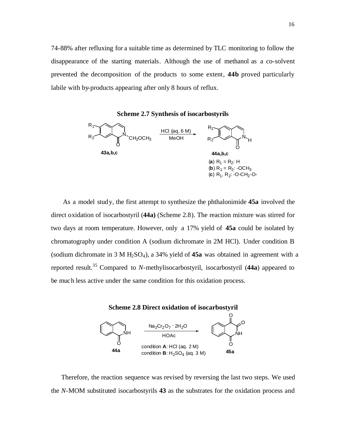74-88% after refluxing for a suitable time as determined by TLC monitoring to follow the disappearance of the starting materials. Although the use of methanol as a co-solvent prevented the decomposition of the products to some extent, **44b** proved particularly labile with by-products appearing after only 8 hours of reflux.



 As a model study, the first attempt to synthesize the phthalonimide **45a** involved the direct oxidation of isocarbostyril (**44a)** (Scheme 2.8). The reaction mixture was stirred for two days at room temperature. However, only a 17% yield of **45a** could be isolated by chromatography under condition A (sodium dichromate in 2M HCl). Under condition B (sodium dichromate in 3 M H2SO4), a 34% yield of **45a** was obtained in agreement with a reported result. <sup>35</sup> Compared to *N*-methylisocarbostyril, isocarbostyril (**44a**) appeared to be much less active under the same condition for this oxidation process.



 Therefore, the reaction sequence was revised by reversing the last two steps. We used the *N*-MOM substituted isocarbostyrils **43** as the substrates for the oxidation process and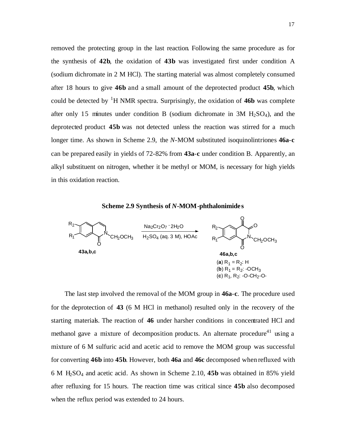removed the protecting group in the last reaction. Following the same procedure as for the synthesis of **42b**, the oxidation of **43b** was investigated first under condition A (sodium dichromate in 2 M HCl). The starting material was almost completely consumed after 18 hours to give **46b** and a small amount of the deprotected product **45b**, which could be detected by  ${}^{1}H$  NMR spectra. Surprisingly, the oxidation of **46b** was complete after only 15 minutes under condition B (sodium dichromate in  $3M H_2SO_4$ ), and the deprotected product **45b** was not detected unless the reaction was stirred for a much longer time. As shown in Scheme 2.9, the *N*-MOM substituted isoquinolintriones **46a**-**c** can be prepared easily in yields of 72-82% from **43a**-**c** under condition B. Apparently, an alkyl substituent on nitrogen, whether it be methyl or MOM, is necessary for high yields in this oxidation reaction.

**Scheme 2.9 Synthesis of** *N***-MOM-phthalonimide s**



 The last step involved the removal of the MOM group in **46a**-**c**. The procedure used for the deprotection of **43** (6 M HCl in methanol) resulted only in the recovery of the starting materials. The reaction of **46** under harsher conditions in concentrated HCl and methanol gave a mixture of decomposition products. An alternate procedure<sup>41</sup> using a mixture of 6 M sulfuric acid and acetic acid to remove the MOM group was successful for converting **46b** into **45b**. However, both **46a** and **46c** decomposed when refluxed with 6 M H2SO4 and acetic acid. As shown in Scheme 2.10, **45b** was obtained in 85% yield after refluxing for 15 hours. The reaction time was critical since **45b** also decomposed when the reflux period was extended to 24 hours.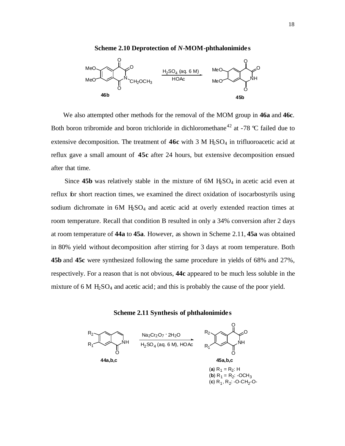

 We also attempted other methods for the removal of the MOM group in **46a** and **46c**. Both boron tribromide and boron trichloride in dichloromethane<sup>42</sup> at -78 °C failed due to extensive decomposition. The treatment of 46c with 3 M H<sub>2</sub>SO<sub>4</sub> in trifluoroacetic acid at reflux gave a small amount of **45c** after 24 hours, but extensive decomposition ensued after that time.

Since  $45b$  was relatively stable in the mixture of  $6M$   $H<sub>2</sub>SO<sub>4</sub>$  in acetic acid even at reflux for short reaction times, we examined the direct oxidation of isocarbostyrils using sodium dichromate in 6M H<sub>2</sub>SO<sub>4</sub> and acetic acid at overly extended reaction times at room temperature. Recall that condition B resulted in only a 34% conversion after 2 days at room temperature of **44a** to **45a**. However, as shown in Scheme 2.11, **45a** was obtained in 80% yield without decomposition after stirring for 3 days at room temperature. Both **45b** and **45c** were synthesized following the same procedure in yields of 68% and 27%, respectively. For a reason that is not obvious, **44c** appeared to be much less soluble in the mixture of 6 M  $H_2SO_4$  and acetic acid; and this is probably the cause of the poor yield.





(**b**)  $R_1 = R_2$ : -OCH<sub>3</sub> (c) R<sub>1</sub>, R<sub>2</sub>: -O-CH<sub>2</sub>-O-

O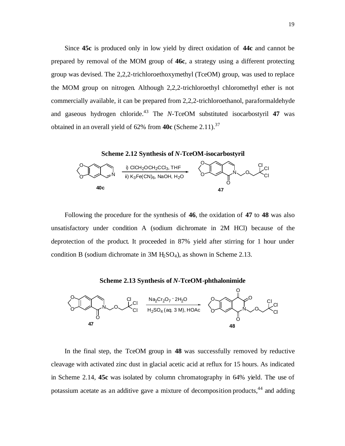Since **45c** is produced only in low yield by direct oxidation of **44c** and cannot be prepared by removal of the MOM group of **46c**, a strategy using a different protecting group was devised. The 2,2,2-trichloroethoxymethyl (TceOM) group, was used to replace the MOM group on nitrogen. Although 2,2,2-trichloroethyl chloromethyl ether is not commercially available, it can be prepared from 2,2,2-trichloroethanol, paraformaldehyde and gaseous hydrogen chloride.<sup>43</sup> The *N*-TceOM substituted isocarbostyril 47 was obtained in an overall yield of 62% from **40c** (Scheme 2.11).<sup>37</sup>



 Following the procedure for the synthesis of **46**, the oxidation of **47** to **48** was also unsatisfactory under condition A (sodium dichromate in 2M HCl) because of the deprotection of the product. It proceeded in 87% yield after stirring for 1 hour under condition B (sodium dichromate in  $3M$  H<sub>2</sub>SO<sub>4</sub>), as shown in Scheme 2.13.





 In the final step, the TceOM group in **48** was successfully removed by reductive cleavage with activated zinc dust in glacial acetic acid at reflux for 15 hours. As indicated in Scheme 2.14, **45c** was isolated by column chromatography in 64% yield. The use of potassium acetate as an additive gave a mixture of decomposition products,<sup>44</sup> and adding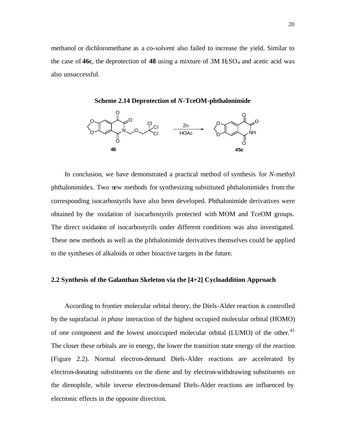methanol or dichloromethane as a co-solvent also failed to increase the yield. Similar to the case of **46c**, the deprotection of **48** using a mixture of  $3M$  H<sub>2</sub>SO<sub>4</sub> and acetic acid was also unsuccessful.

**Scheme 2.14 Deprotection of** *N***-TceOM-phthalonimide**



 In conclusion, we have demonstrated a practical method of synthesis for *N*-methyl phthalonimides. Two new methods for synthesizing substituted phthalonimides from the corresponding isocarbostyrils have also been developed. Phthalonimide derivatives were obtained by the oxidation of isocarbostyrils protected with MOM and TceOM groups. The direct oxidation of isocarbostyrils under different conditions was also investigated. These new methods as well as the phthalonimide derivatives themselves could be applied to the syntheses of alkaloids or other bioactive targets in the future.

#### **2.2 Synthesis of the Galanthan Skeleton via the [4+2] Cycloaddition Approach**

 According to frontier molecular orbital theory, the Diels-Alder reaction is controlled by the suprafacial *in phase* interaction of the highest occupied molecular orbital (HOMO) of one component and the lowest unoccupied molecular orbital (LUMO) of the other.<sup>45</sup> The closer these orbitals are in energy, the lower the transition state energy of the reaction (Figure 2.2). Normal electron-demand Diels-Alder reactions are accelerated by electron-donating substituents on the diene and by electron-withdrawing substituents on the dienophile, while inverse electron-demand Diels-Alder reactions are influenced by electronic effects in the opposite direction.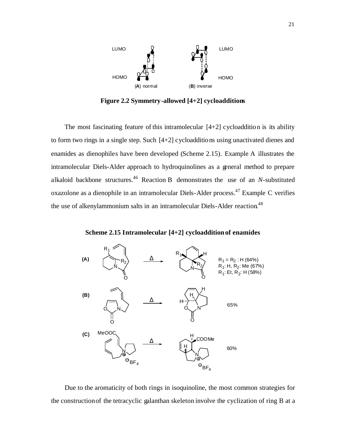

**Figure 2.2 Symmetry-allowed [4+2] cycloadditions**

The most fascinating feature of this intramolecular  $[4+2]$  cycloaddition is its ability to form two rings in a single step. Such [4+2] cycloadditions using unactivated dienes and enamides as dienophiles have been developed (Scheme 2.15). Example A illustrates the intramolecular Diels-Alder approach to hydroquinolines as a general method to prepare alkaloid backbone structures. <sup>46</sup> Reaction B demonstrates the use of an *N*-substituted oxazolone as a dienophile in an intramolecular Diels-Alder process. <sup>47</sup> Example C verifies the use of alkenylammonium salts in an intramolecular Diels-Alder reaction.<sup>48</sup>

**Scheme 2.15 Intramolecular [4+2] cycloaddition of enamides**



 Due to the aromaticity of both rings in isoquinoline, the most common strategies for the construction of the tetracyclic galanthan skeleton involve the cyclization of ring B at a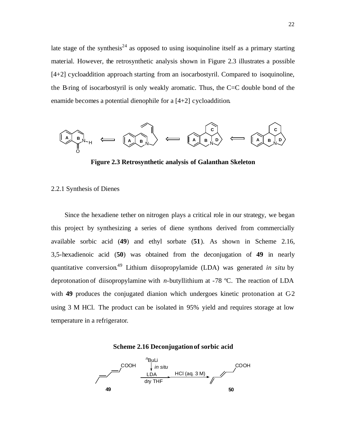late stage of the synthesis<sup>24</sup> as opposed to using isoquinoline itself as a primary starting material. However, the retrosynthetic analysis shown in Figure 2.3 illustrates a possible [4+2] cycloaddition approach starting from an isocarbostyril. Compared to isoquinoline, the B-ring of isocarbostyril is only weakly aromatic. Thus, the C=C double bond of the enamide becomes a potential dienophile for a [4+2] cycloaddition.



**Figure 2.3 Retrosynthetic analysis of Galanthan Skeleton**

#### 2.2.1 Synthesis of Dienes

 Since the hexadiene tether on nitrogen plays a critical role in our strategy, we began this project by synthesizing a series of diene synthons derived from commercially available sorbic acid (**49**) and ethyl sorbate (**51**). As shown in Scheme 2.16, 3,5-hexadienoic acid (**50**) was obtained from the deconjugation of **49** in nearly quantitative conversion. <sup>49</sup> Lithium diisopropylamide (LDA) was generated *in situ* by deprotonation of diisopropylamine with *n*-butyllithium at -78 ºC. The reaction of LDA with **49** produces the conjugated dianion which undergoes kinetic protonation at C-2 using 3 M HCl. The product can be isolated in 95% yield and requires storage at low temperature in a refrigerator.



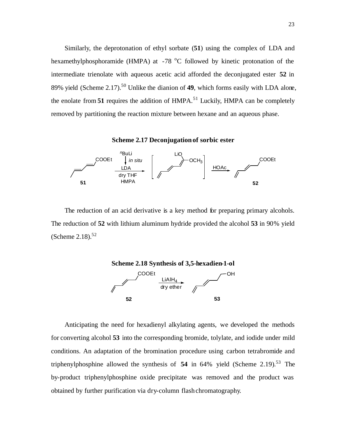Similarly, the deprotonation of ethyl sorbate (**51**) using the complex of LDA and hexamethylphosphoramide (HMPA) at -78 °C followed by kinetic protonation of the intermediate trienolate with aqueous acetic acid afforded the deconjugated ester **52** in 89% yield (Scheme 2.17). <sup>50</sup> Unlike the dianion of **49**, which forms easily with LDA alone, the enolate from  $51$  requires the addition of HMPA.<sup>51</sup> Luckily, HMPA can be completely removed by partitioning the reaction mixture between hexane and an aqueous phase.

**Scheme 2.17 Deconjugation of sorbic ester**



 The reduction of an acid derivative is a key method for preparing primary alcohols. The reduction of **52** with lithium aluminum hydride provided the alcohol **53** in 90% yield (Scheme  $2.18$ ).<sup>52</sup>



Anticipating the need for hexadienyl alkylating agents, we developed the methods for converting alcohol **53** into the corresponding bromide, tolylate, and iodide under mild conditions. An adaptation of the bromination procedure using carbon tetrabromide and triphenylphosphine allowed the synthesis of **54** in 64% yield (Scheme 2.19). <sup>53</sup> The by-product triphenylphosphine oxide precipitate was removed and the product was obtained by further purification via dry-column flash chromatography.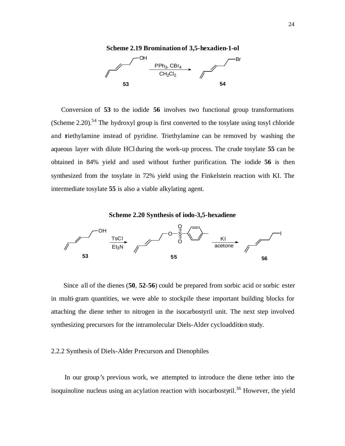

 Conversion of **53** to the iodide **56** involves two functional group transformations (Scheme 2.20).<sup>54</sup> The hydroxyl group is first converted to the tosylate using tosyl chloride and triethylamine instead of pyridine. Triethylamine can be removed by washing the aqueous layer with dilute HCl during the work-up process. The crude tosylate **55** can be obtained in 84% yield and used without further purification. The iodide **56** is then synthesized from the tosylate in 72% yield using the Finkelstein reaction with KI. The intermediate tosylate **55** is also a viable alkylating agent.

**Scheme 2.20 Synthesis of iodo-3,5-hexadiene**



 Since all of the dienes (**50**, **52**-**56**) could be prepared from sorbic acid or sorbic ester in multi-gram quantities, we were able to stockpile these important building blocks for attaching the diene tether to nitrogen in the isocarbostyril unit. The next step involved synthesizing precursors for the intramolecular Diels-Alder cycloaddition study.

#### 2.2.2 Synthesis of Diels-Alder Precursors and Dienophiles

 In our group's previous work, we attempted to introduce the diene tether into the isoquinoline nucleus using an acylation reaction with isocarbostyril.<sup>36</sup> However, the yield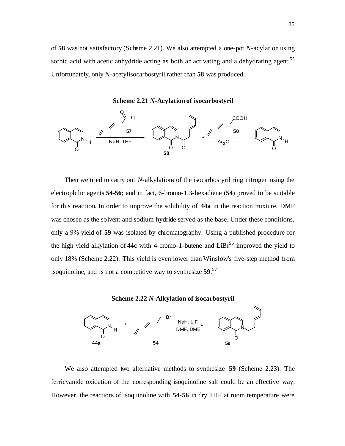of **58** was not satisfactory (Scheme 2.21). We also attempted a one-pot *N*-acylation using sorbic acid with acetic anhydride acting as both an activating and a dehydrating agent.<sup>55</sup> Unfortunately, only *N*-acetylisocarbostyril rather than **58** was produced.





Then we tried to carry out *N*-alkylations of the isocarbostyril ring nitrogen using the electrophilic agents **54-56**; and in fact, 6-bromo-1,3-hexadiene (**54**) proved to be suitable for this reaction. In order to improve the solubility of **44a** in the reaction mixture, DMF was chosen as the solvent and sodium hydride served as the base. Under these conditions, only a 9% yield of **59** was isolated by chromatography. Using a published procedure for the high yield alkylation of **44c** with 4-bromo-1-butene and  $LiBr<sup>56</sup>$  improved the yield to only 18% (Scheme 2.22). This yield is even lower than Winslow's five-step method from isoquinoline, and is not a competitive way to synthesize **59**. 57





We also attempted two alternative methods to synthesize **59** (Scheme 2.23). The ferricyanide oxidation of the corresponding isoquinoline salt could be an effective way. However, the reactions of isoquinoline with **54**-**56** in dry THF at room temperature were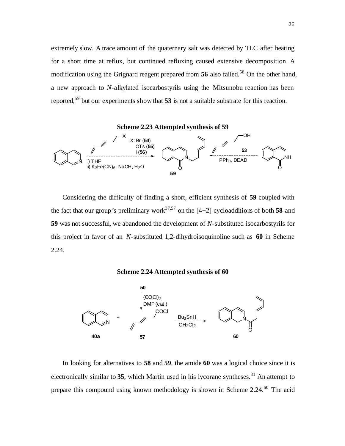extremely slow. A trace amount of the quaternary salt was detected by TLC after heating for a short time at reflux, but continued refluxing caused extensive decomposition. A modification using the Grignard reagent prepared from 56 also failed.<sup>58</sup> On the other hand, a new approach to *N*-alkylated isocarbostyrils using the Mitsunobu reaction has been reported,<sup>59</sup> but our experiments show that **53** is not a suitable substrate for this reaction.



 Considering the difficulty of finding a short, efficient synthesis of **59** coupled with the fact that our group's preliminary work<sup>37,57</sup> on the  $[4+2]$  cycloadditions of both 58 and **59** was not successful, we abandoned the development of *N*-substituted isocarbostyrils for this project in favor of an *N*-substituted 1,2-dihydroisoquinoline such as **60** in Scheme 2.24.

#### **Scheme 2.24 Attempted synthesis of 60**



 In looking for alternatives to **58** and **59**, the amide **60** was a logical choice since it is electronically similar to  $35$ , which Martin used in his lycorane syntheses.<sup>31</sup> An attempt to prepare this compound using known methodology is shown in Scheme 2.24.<sup>60</sup> The acid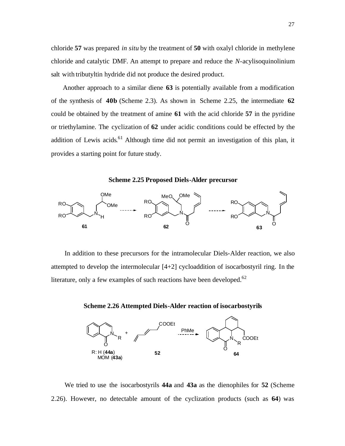chloride **57** was prepared *in situ* by the treatment of **50** with oxalyl chloride in methylene chloride and catalytic DMF. An attempt to prepare and reduce the *N*-acylisoquinolinium salt with tributyltin hydride did not produce the desired product.

 Another approach to a similar diene **63** is potentially available from a modification of the synthesis of **40b** (Scheme 2.3). As shown in Scheme 2.25, the intermediate **62** could be obtained by the treatment of amine **61** with the acid chloride **57** in the pyridine or triethylamine. The cyclization of **62** under acidic conditions could be effected by the addition of Lewis acids.<sup>61</sup> Although time did not permit an investigation of this plan, it provides a starting point for future study.

**Scheme 2.25 Proposed Diels-Alder precursor**



In addition to these precursors for the intramolecular Diels-Alder reaction, we also attempted to develop the intermolecular [4+2] cycloaddition of isocarbostyril ring. In the literature, only a few examples of such reactions have been developed. $62$ 



**Scheme 2.26 Attempted Diels-Alder reaction of isocarbostyrils**

We tried to use the isocarbostyrils **44a** and **43a** as the dienophiles for **52** (Scheme 2.26). However, no detectable amount of the cyclization products (such as **64**) was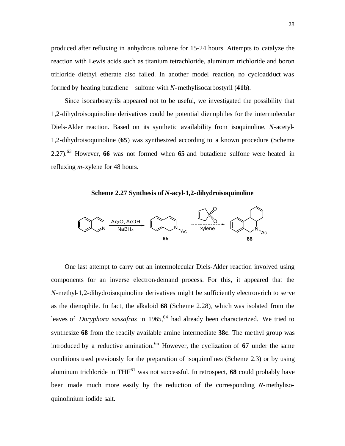produced after refluxing in anhydrous toluene for 15-24 hours. Attempts to catalyze the reaction with Lewis acids such as titanium tetrachloride, aluminum trichloride and boron trifloride diethyl etherate also failed. In another model reaction, no cycloadduct was formed by heating butadiene sulfone with *N*-methylisocarbostyril (**41b**).

 Since isocarbostyrils appeared not to be useful, we investigated the possibility that 1,2-dihydroisoquinoline derivatives could be potential dienophiles for the intermolecular Diels-Alder reaction. Based on its synthetic availability from isoquinoline, *N*-acetyl-1,2-dihydroisoquinoline (**65**) was synthesized according to a known procedure (Scheme 2.27).<sup>63</sup> However, **66** was not formed when **65** and butadiene sulfone were heated in refluxing *m*-xylene for 48 hours.

**Scheme 2.27 Synthesis of** *N***-acyl-1,2-dihydroisoquinoline**



 One last attempt to carry out an intermolecular Diels-Alder reaction involved using components for an inverse electron-demand process. For this, it appeared that the *N*-methyl-1,2-dihydroisoquinoline derivatives might be sufficiently electron-rich to serve as the dienophile. In fact, the alkaloid **68** (Scheme 2.28), which was isolated from the leaves of *Doryphora sassafras* in 1965, <sup>64</sup> had already been characterized. We tried to synthesize **68** from the readily available amine intermediate **38c**. The methyl group was introduced by a reductive amination.<sup>65</sup> However, the cyclization of  $67$  under the same conditions used previously for the preparation of isoquinolines (Scheme 2.3) or by using aluminum trichloride in  $THF<sup>61</sup>$  was not successful. In retrospect, 68 could probably have been made much more easily by the reduction of the corresponding *N*-methylisoquinolinium iodide salt.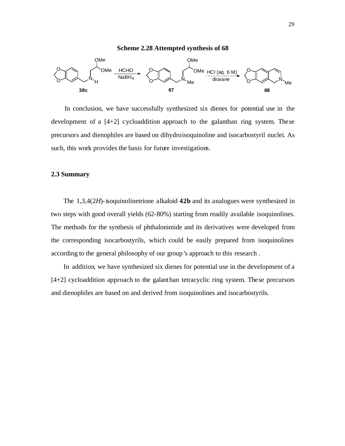

 In conclusion, we have successfully synthesized six dienes for potential use in the development of a [4+2] cycloaddition approach to the galanthan ring system. These precursors and dienophiles are based on dihydroisoquinoline and isocarbostyril nuclei. As such, this work provides the basis for future investigations.

#### **2.3 Summary**

 The 1,3,4(2*H*)-isoquinolinetrione alkaloid **42b** and its analogues were synthesized in two steps with good overall yields (62-80%) starting from readily available isoquinolines. The methods for the synthesis of phthalonimide and its derivatives were developed from the corresponding isocarbostyrils, which could be easily prepared from isoquinolines according to the general philosophy of our group's approach to this research .

 In addition, we have synthesized six dienes for potential use in the development of a [4+2] cycloaddition approach to the galanthan tetracyclic ring system. These precursors and dienophiles are based on and derived from isoquinolines and isocarbostyrils.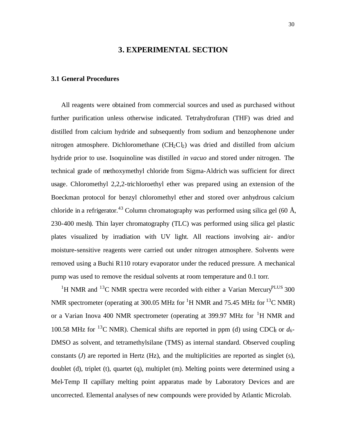#### **3. EXPERIMENTAL SECTION**

#### **3.1 General Procedures**

 All reagents were obtained from commercial sources and used as purchased without further purification unless otherwise indicated. Tetrahydrofuran (THF) was dried and distilled from calcium hydride and subsequently from sodium and benzophenone under nitrogen atmosphere. Dichloromethane  $(CH_2Cl_2)$  was dried and distilled from calcium hydride prior to use. Isoquinoline was distilled *in vacuo* and stored under nitrogen. The technical grade of methoxymethyl chloride from Sigma-Aldrich was sufficient for direct usage. Chloromethyl 2,2,2-trichloroethyl ether was prepared using an extension of the Boeckman protocol for benzyl chloromethyl ether and stored over anhydrous calcium chloride in a refrigerator.<sup>43</sup> Column chromatography was performed using silica gel (60 Å, 230-400 mesh). Thin layer chromatography (TLC) was performed using silica gel plastic plates visualized by irradiation with UV light. All reactions involving air- and/or moisture-sensitive reagents were carried out under nitrogen atmosphere. Solvents were removed using a Buchi R110 rotary evaporator under the reduced pressure. A mechanical pump was used to remove the residual solvents at room temperature and 0.1 torr.

<sup>1</sup>H NMR and <sup>13</sup>C NMR spectra were recorded with either a Varian Mercury<sup>PLUS</sup> 300 NMR spectrometer (operating at 300.05 MHz for <sup>1</sup>H NMR and 75.45 MHz for <sup>13</sup>C NMR) or a Varian Inova 400 NMR spectrometer (operating at 399.97 MHz for  ${}^{1}H$  NMR and 100.58 MHz for <sup>13</sup>C NMR). Chemical shifts are reported in ppm (d) using CDC<sub>k</sub> or  $d_6$ -DMSO as solvent, and tetramethylsilane (TMS) as internal standard. Observed coupling constants  $(J)$  are reported in Hertz  $(Hz)$ , and the multiplicities are reported as singlet  $(s)$ , doublet (d), triplet (t), quartet (q), multiplet (m). Melting points were determined using a Mel-Temp II capillary melting point apparatus made by Laboratory Devices and are uncorrected. Elemental analyses of new compounds were provided by Atlantic Microlab.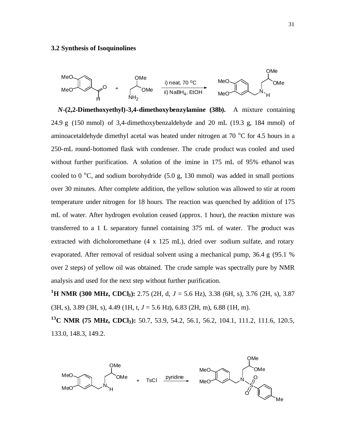#### **3.2 Synthesis of Isoquinolines**



*N***-(2,2-Dimethoxyethyl)-3,4-dimethoxybenzylamine (38b).** A mixture containing 24.9 g (150 mmol) of 3,4-dimethoxybenzaldehyde and 20 mL (19.3 g, 184 mmol) of aminoacetaldehyde dimethyl acetal was heated under nitrogen at  $70\text{ °C}$  for 4.5 hours in a 250-mL round-bottomed flask with condenser. The crude product was cooled and used without further purification. A solution of the imine in 175 mL of 95% ethanol was cooled to 0  $\degree$ C, and sodium borohydride (5.0 g, 130 mmol) was added in small portions over 30 minutes. After complete addition, the yellow solution was allowed to stir at room temperature under nitrogen for 18 hours. The reaction was quenched by addition of 175 mL of water. After hydrogen evolution ceased (approx. 1 hour), the reaction mixture was transferred to a 1 L separatory funnel containing 375 mL of water. The product was extracted with dicholoromethane (4 x 125 mL), dried over sodium sulfate, and rotary evaporated. After removal of residual solvent using a mechanical pump, 36.4 g (95.1 % over 2 steps) of yellow oil was obtained. The crude sample was spectrally pure by NMR analysis and used for the next step without further purification.

**<sup>1</sup>H NMR (300 MHz, CDCl3):** 2.75 (2H, d, *J* = 5.6 Hz), 3.38 (6H, s), 3.76 (2H, s), 3.87 (3H, s), 3.89 (3H, s), 4.49 (1H, t, *J* = 5.6 Hz), 6.83 (2H, m), 6.88 (1H, m).

**<sup>13</sup>C NMR (75 MHz, CDCl3):** 50.7, 53.9, 54.2, 56.1, 56.2, 104.1, 111.2, 111.6, 120.5, 133.0, 148.3, 149.2.

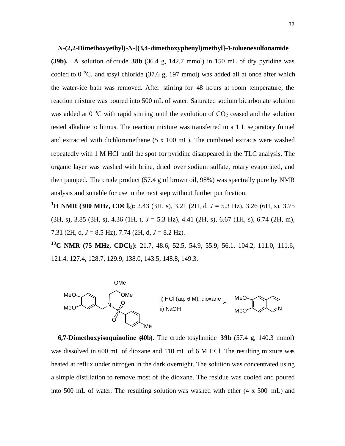*N***-(2,2-Dimethoxyethyl)-***N***-[(3,4-dimethoxyphenyl)methyl]-4-toluenesulfonamide**

**(39b).** A solution of crude **38b** (36.4 g, 142.7 mmol) in 150 mL of dry pyridine was cooled to  $0^{\circ}$ C, and tosyl chloride (37.6 g, 197 mmol) was added all at once after which the water-ice bath was removed. After stirring for 48 hours at room temperature, the reaction mixture was poured into 500 mL of water. Saturated sodium bicarbonate solution was added at  $0^{\circ}$ C with rapid stirring until the evolution of  $CO<sub>2</sub>$  ceased and the solution tested alkaline to litmus. The reaction mixture was transferred to a 1 L separatory funnel and extracted with dichloromethane (5 x 100 mL). The combined extracts were washed repeatedly with 1 M HCl until the spot for pyridine disappeared in the TLC analysis. The organic layer was washed with brine, dried over sodium sulfate, rotary evaporated, and then pumped. The crude product (57.4 g of brown oil, 98%) was spectrally pure by NMR analysis and suitable for use in the next step without further purification.

**<sup>1</sup>H NMR (300 MHz, CDCl3):** 2.43 (3H, s), 3.21 (2H, d, *J* = 5.3 Hz), 3.26 (6H, s), 3.75 (3H, s), 3.85 (3H, s), 4.36 (1H, t, *J* = 5.3 Hz), 4.41 (2H, s), 6.67 (1H, s), 6.74 (2H, m), 7.31 (2H, d, *J* = 8.5 Hz), 7.74 (2H, d, *J* = 8.2 Hz).

**<sup>13</sup>C NMR (75 MHz, CDCl3):** 21.7, 48.6, 52.5, 54.9, 55.9, 56.1, 104.2, 111.0, 111.6, 121.4, 127.4, 128.7, 129.9, 138.0, 143.5, 148.8, 149.3.



**6,7-Dimethoxyisoquinoline (40b).** The crude tosylamide **39b** (57.4 g, 140.3 mmol) was dissolved in 600 mL of dioxane and 110 mL of 6 M HCl. The resulting mixture was heated at reflux under nitrogen in the dark overnight. The solution was concentrated using a simple distillation to remove most of the dioxane. The residue was cooled and poured into 500 mL of water. The resulting solution was washed with ether (4 x 300 mL) and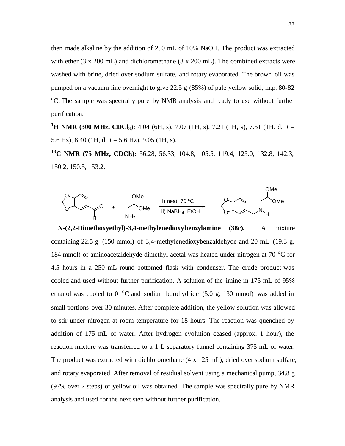then made alkaline by the addition of 250 mL of 10% NaOH. The product was extracted with ether (3 x 200 mL) and dichloromethane (3 x 200 mL). The combined extracts were washed with brine, dried over sodium sulfate, and rotary evaporated. The brown oil was pumped on a vacuum line overnight to give 22.5 g (85%) of pale yellow solid, m.p. 80-82 <sup>o</sup>C. The sample was spectrally pure by NMR analysis and ready to use without further purification.

**<sup>1</sup>H NMR (300 MHz, CDCl3):** 4.04 (6H, s), 7.07 (1H, s), 7.21 (1H, s), 7.51 (1H, d, *J* = 5.6 Hz), 8.40 (1H, d, *J* = 5.6 Hz), 9.05 (1H, s).

**<sup>13</sup>C NMR (75 MHz, CDCl3):** 56.28, 56.33, 104.8, 105.5, 119.4, 125.0, 132.8, 142.3, 150.2, 150.5, 153.2.



 *N***-(2,2-Dimethoxyethyl)-3,4-methylenedioxybenzylamine (38c).** A mixture containing 22.5 g (150 mmol) of 3,4-methylenedioxybenzaldehyde and 20 mL (19.3 g, 184 mmol) of aminoacetaldehyde dimethyl acetal was heated under nitrogen at 70  $^{\circ}$ C for 4.5 hours in a 250-mL round-bottomed flask with condenser. The crude product was cooled and used without further purification. A solution of the imine in 175 mL of 95% ethanol was cooled to 0  $\degree$ C and sodium borohydride (5.0 g, 130 mmol) was added in small portions over 30 minutes. After complete addition, the yellow solution was allowed to stir under nitrogen at room temperature for 18 hours. The reaction was quenched by addition of 175 mL of water. After hydrogen evolution ceased (approx. 1 hour), the reaction mixture was transferred to a 1 L separatory funnel containing 375 mL of water. The product was extracted with dichloromethane (4 x 125 mL), dried over sodium sulfate, and rotary evaporated. After removal of residual solvent using a mechanical pump, 34.8 g (97% over 2 steps) of yellow oil was obtained. The sample was spectrally pure by NMR analysis and used for the next step without further purification.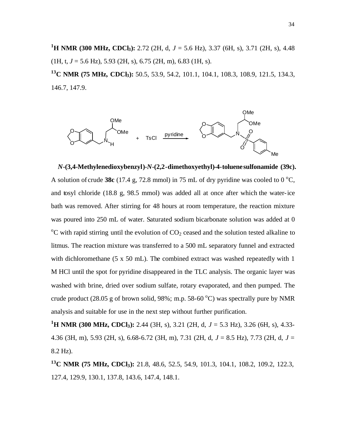**<sup>1</sup>H NMR (300 MHz, CDCl3):** 2.72 (2H, d, *J* = 5.6 Hz), 3.37 (6H, s), 3.71 (2H, s), 4.48 (1H, t, *J* = 5.6 Hz), 5.93 (2H, s), 6.75 (2H, m), 6.83 (1H, s).

**<sup>13</sup>C NMR (75 MHz, CDCl3):** 50.5, 53.9, 54.2, 101.1, 104.1, 108.3, 108.9, 121.5, 134.3, 146.7, 147.9.



*N***-(3,4-Methylenedioxybenzyl)-***N***-(2,2-dimethoxyethyl)-4-toluenesulfonamide (39c).** A solution of crude 38c (17.4 g, 72.8 mmol) in 75 mL of dry pyridine was cooled to  $0^{\circ}$ C, and tosyl chloride (18.8 g, 98.5 mmol) was added all at once after which the water-ice bath was removed. After stirring for 48 hours at room temperature, the reaction mixture was poured into 250 mL of water. Saturated sodium bicarbonate solution was added at 0  $\rm{^{\circ}C}$  with rapid stirring until the evolution of  $\rm{CO_2}$  ceased and the solution tested alkaline to litmus. The reaction mixture was transferred to a 500 mL separatory funnel and extracted with dichloromethane (5 x 50 mL). The combined extract was washed repeatedly with 1 M HCl until the spot for pyridine disappeared in the TLC analysis. The organic layer was washed with brine, dried over sodium sulfate, rotary evaporated, and then pumped. The crude product (28.05 g of brown solid, 98%; m.p. 58-60  $^{\circ}$ C) was spectrally pure by NMR analysis and suitable for use in the next step without further purification.

**<sup>1</sup>H NMR (300 MHz, CDCl3):** 2.44 (3H, s), 3.21 (2H, d, *J* = 5.3 Hz), 3.26 (6H, s), 4.33- 4.36 (3H, m), 5.93 (2H, s), 6.68-6.72 (3H, m), 7.31 (2H, d, *J* = 8.5 Hz), 7.73 (2H, d, *J* = 8.2 Hz).

**<sup>13</sup>C NMR (75 MHz, CDCl3):** 21.8, 48.6, 52.5, 54.9, 101.3, 104.1, 108.2, 109.2, 122.3, 127.4, 129.9, 130.1, 137.8, 143.6, 147.4, 148.1.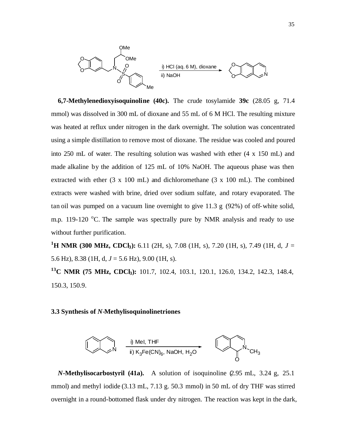

**6,7-Methylenedioxyisoquinoline (40c).** The crude tosylamide **39c** (28.05 g, 71.4 mmol) was dissolved in 300 mL of dioxane and 55 mL of 6 M HCl. The resulting mixture was heated at reflux under nitrogen in the dark overnight. The solution was concentrated using a simple distillation to remove most of dioxane. The residue was cooled and poured into 250 mL of water. The resulting solution was washed with ether (4 x 150 mL) and made alkaline by the addition of 125 mL of 10% NaOH. The aqueous phase was then extracted with ether  $(3 \times 100 \text{ mL})$  and dichloromethane  $(3 \times 100 \text{ mL})$ . The combined extracts were washed with brine, dried over sodium sulfate, and rotary evaporated. The tan oil was pumped on a vacuum line overnight to give 11.3 g (92%) of off-white solid, m.p. 119-120  $\degree$ C. The sample was spectrally pure by NMR analysis and ready to use without further purification.

**<sup>1</sup>H NMR (300 MHz, CDCl3):** 6.11 (2H, s), 7.08 (1H, s), 7.20 (1H, s), 7.49 (1H, d, *J* = 5.6 Hz), 8.38 (1H, d, *J* = 5.6 Hz), 9.00 (1H, s).

**<sup>13</sup>C NMR (75 MHz, CDCl3):** 101.7, 102.4, 103.1, 120.1, 126.0, 134.2, 142.3, 148.4, 150.3, 150.9.

#### **3.3 Synthesis of** *N***-Methylisoquinolinetriones**



 *N***-Methylisocarbostyril (41a).** A solution of isoquinoline (2.95 mL, 3.24 g, 25.1 mmol) and methyl iodide (3.13 mL, 7.13 g. 50.3 mmol) in 50 mL of dry THF was stirred overnight in a round-bottomed flask under dry nitrogen. The reaction was kept in the dark,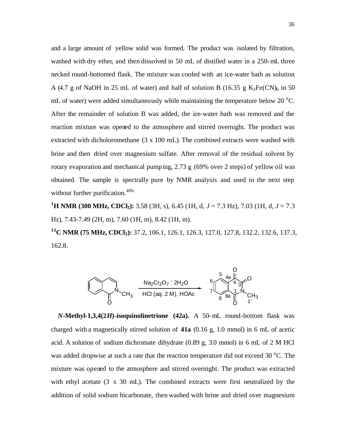and a large amount of yellow solid was formed. The product was isolated by filtration, washed with dry ether, and then dissolved in 50 mL of distilled water in a 250-mL three necked round-bottomed flask. The mixture was cooled with an ice-water bath as solution A (4.7 g of NaOH in 25 mL of water) and half of solution B (16.35 g  $K_3Fe(CN)_6$  in 50 mL of water) were added simultaneously while maintaining the temperature below 20  $^{\circ}$ C. After the remainder of solution B was added, the ice-water bath was removed and the reaction mixture was opened to the atmosphere and stirred overnight. The product was extracted with dicholoromethane (3 x 100 mL). The combined extracts were washed with brine and then dried over magnesium sulfate. After removal of the residual solvent by rotary evaporation and mechanical pumping, 2.73 g (69% over 2 steps) of yellow oil was obtained. The sample is spectrally pure by NMR analysis and used in the next step without further purification.<sup>40b</sup>

**<sup>1</sup>H NMR (300 MHz, CDCl3):** 3.58 (3H, s), 6.45 (1H, d, *J* = 7.3 Hz), 7.03 (1H, d, *J* = 7.3 Hz), 7.43-7.49 (2H, m), 7.60 (1H, m), 8.42 (1H, m).

**<sup>13</sup>C NMR (75 MHz, CDCl3):** 37.2, 106.1, 126.1, 126.3, 127.0, 127.8, 132.2, 132.6, 137.3, 162.8.



 *N***-Methyl-1,3,4(2***H***)-isoquinolinetrione (42a).** A 50-mL round-bottom flask was charged with a magnetically stirred solution of **41a** (0.16 g, 1.0 mmol) in 6 mL of acetic acid. A solution of sodium dichromate dihydrate (0.89 g, 3.0 mmol) in 6 mL of 2 M HCl was added dropwise at such a rate that the reaction temperature did not exceed  $30^{\circ}$ C. The mixture was opened to the atmosphere and stirred overnight. The product was extracted with ethyl acetate (3 x 30 mL). The combined extracts were first neutralized by the addition of solid sodium bicarbonate, then washed with brine and dried over magnesium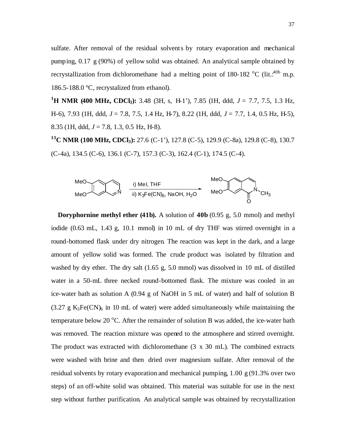sulfate. After removal of the residual solvents by rotary evaporation and mechanical pumping, 0.17 g (90%) of yellow solid was obtained. An analytical sample obtained by recrystallization from dichloromethane had a melting point of 180-182  $^{\circ}$ C (lit.:<sup>40b</sup> m.p. 186.5-188.0 °C, recrystalized from ethanol).

**<sup>1</sup>H NMR (400 MHz, CDCl3):** 3.48 (3H, s, H-1'), 7.85 (1H, ddd, *J* = 7.7, 7.5, 1.3 Hz, H-6), 7.93 (1H, ddd, *J* = 7.8, 7.5, 1.4 Hz, H-7), 8.22 (1H, ddd, *J* = 7.7, 1.4, 0.5 Hz, H-5), 8.35 (1H, ddd, *J* = 7.8, 1.3, 0.5 Hz, H-8).

**<sup>13</sup>C NMR (100 MHz, CDCl3):** 27.6 (C-1'), 127.8 (C-5), 129.9 (C-8a), 129.8 (C-8), 130.7 (C-4a), 134.5 (C-6), 136.1 (C-7), 157.3 (C-3), 162.4 (C-1), 174.5 (C-4).



 **Doryphornine methyl ether (41b).** A solution of **40b** (0.95 g, 5.0 mmol) and methyl iodide (0.63 mL, 1.43 g, 10.1 mmol) in 10 mL of dry THF was stirred overnight in a round-bottomed flask under dry nitrogen. The reaction was kept in the dark, and a large amount of yellow solid was formed. The crude product was isolated by filtration and washed by dry ether. The dry salt (1.65 g, 5.0 mmol) was dissolved in 10 mL of distilled water in a 50-mL three necked round-bottomed flask. The mixture was cooled in an ice-water bath as solution A (0.94 g of NaOH in 5 mL of water) and half of solution B  $(3.27 \text{ g } K_3\text{Fe(CN)}_6$  in 10 mL of water) were added simultaneously while maintaining the temperature below 20  $^{\circ}$ C. After the remainder of solution B was added, the ice-water bath was removed. The reaction mixture was opened to the atmosphere and stirred overnight. The product was extracted with dichloromethane (3 x 30 mL). The combined extracts were washed with brine and then dried over magnesium sulfate. After removal of the residual solvents by rotary evaporation and mechanical pumping, 1.00 g (91.3% over two steps) of an off-white solid was obtained. This material was suitable for use in the next step without further purification. An analytical sample was obtained by recrystallization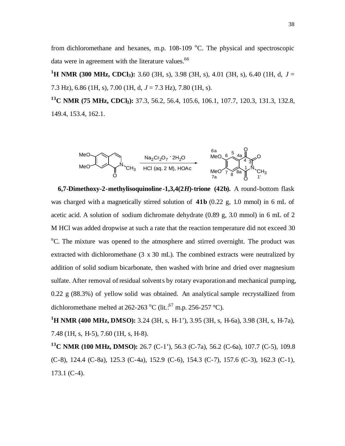from dichloromethane and hexanes, m.p.  $108-109$  °C. The physical and spectroscopic data were in agreement with the literature values.<sup>66</sup>

**<sup>1</sup>H NMR (300 MHz, CDCl3):** 3.60 (3H, s), 3.98 (3H, s), 4.01 (3H, s), 6.40 (1H, d, *J* = 7.3 Hz), 6.86 (1H, s), 7.00 (1H, d, *J* = 7.3 Hz), 7.80 (1H, s).

**<sup>13</sup>C NMR (75 MHz, CDCl3):** 37.3, 56.2, 56.4, 105.6, 106.1, 107.7, 120.3, 131.3, 132.8, 149.4, 153.4, 162.1.



 **6,7-Dimethoxy-2-methylisoquinoline -1,3,4(2***H***)-trione (42b).** A round-bottom flask was charged with a magnetically stirred solution of **41b** (0.22 g, 1.0 mmol) in 6 mL of acetic acid. A solution of sodium dichromate dehydrate (0.89 g, 3.0 mmol) in 6 mL of 2 M HCl was added dropwise at such a rate that the reaction temperature did not exceed 30 <sup>o</sup>C. The mixture was opened to the atmosphere and stirred overnight. The product was extracted with dichloromethane (3 x 30 mL). The combined extracts were neutralized by addition of solid sodium bicarbonate, then washed with brine and dried over magnesium sulfate. After removal of residual solvents by rotary evaporation and mechanical pumping, 0.22 g (88.3%) of yellow solid was obtained. An analytical sample recrystallized from dichloromethane melted at 262-263 °C (lit.:  $57$  m.p. 256-257 °C).

**<sup>1</sup>H NMR (400 MHz, DMSO):** 3.24 (3H, s, H-1'), 3.95 (3H, s, H-6a), 3.98 (3H, s, H-7a), 7.48 (1H, s, H-5), 7.60 (1H, s, H-8).

**<sup>13</sup>C NMR (100 MHz, DMSO):** 26.7 (C-1'), 56.3 (C-7a), 56.2 (C-6a), 107.7 (C-5), 109.8 (C-8), 124.4 (C-8a), 125.3 (C-4a), 152.9 (C-6), 154.3 (C-7), 157.6 (C-3), 162.3 (C-1), 173.1 (C-4).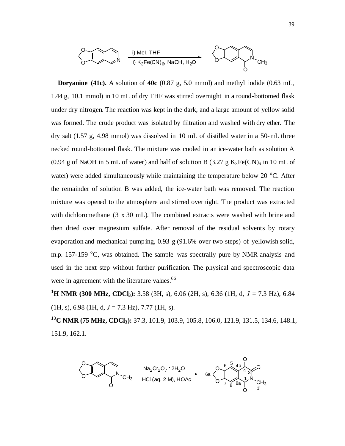

 **Doryanine (41c).** A solution of **40c** (0.87 g, 5.0 mmol) and methyl iodide (0.63 mL, 1.44 g, 10.1 mmol) in 10 mL of dry THF was stirred overnight in a round-bottomed flask under dry nitrogen. The reaction was kept in the dark, and a large amount of yellow solid was formed. The crude product was isolated by filtration and washed with dry ether. The dry salt (1.57 g, 4.98 mmol) was dissolved in 10 mL of distilled water in a 50-mL three necked round-bottomed flask. The mixture was cooled in an ice-water bath as solution A (0.94 g of NaOH in 5 mL of water) and half of solution B  $(3.27 \text{ g } K_3\text{Fe(CN)}_6$  in 10 mL of water) were added simultaneously while maintaining the temperature below 20  $^{\circ}$ C. After the remainder of solution B was added, the ice-water bath was removed. The reaction mixture was opened to the atmosphere and stirred overnight. The product was extracted with dichloromethane (3 x 30 mL). The combined extracts were washed with brine and then dried over magnesium sulfate. After removal of the residual solvents by rotary evaporation and mechanical pumping, 0.93 g (91.6% over two steps) of yellowish solid, m.p. 157-159  $\degree$ C, was obtained. The sample was spectrally pure by NMR analysis and used in the next step without further purification. The physical and spectroscopic data were in agreement with the literature values.<sup>66</sup>

**<sup>1</sup>H NMR (300 MHz, CDCl3):** 3.58 (3H, s), 6.06 (2H, s), 6.36 (1H, d, *J* = 7.3 Hz), 6.84 (1H, s), 6.98 (1H, d, *J* = 7.3 Hz), 7.77 (1H, s).

**<sup>13</sup>C NMR (75 MHz, CDCl3):** 37.3, 101.9, 103.9, 105.8, 106.0, 121.9, 131.5, 134.6, 148.1, 151.9, 162.1.

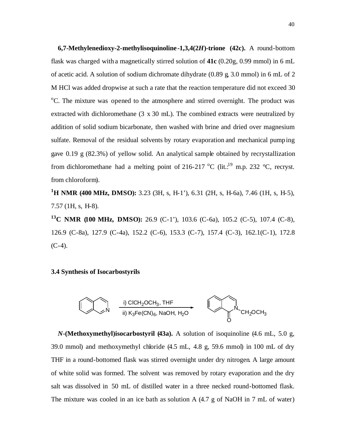**6,7-Methylenedioxy-2-methylisoquinoline -1,3,4(2***H***)-trione (42c).** A round-bottom flask was charged with a magnetically stirred solution of **41c** (0.20g, 0.99 mmol) in 6 mL of acetic acid. A solution of sodium dichromate dihydrate (0.89 g, 3.0 mmol) in 6 mL of 2 M HCl was added dropwise at such a rate that the reaction temperature did not exceed 30 <sup>o</sup>C. The mixture was opened to the atmosphere and stirred overnight. The product was extracted with dichloromethane (3 x 30 mL). The combined extracts were neutralized by addition of solid sodium bicarbonate, then washed with brine and dried over magnesium sulfate. Removal of the residual solvents by rotary evaporation and mechanical pumping gave 0.19 g (82.3%) of yellow solid. An analytical sample obtained by recrystallization from dichloromethane had a melting point of 216-217  $^{\circ}$ C (lit.<sup>19</sup> m.p. 232  $^{\circ}$ C, recryst. from chloroform).

**<sup>1</sup>H NMR (400 MHz, DMSO):** 3.23 (3H, s, H-1'), 6.31 (2H, s, H-6a), 7.46 (1H, s, H-5), 7.57 (1H, s, H-8).

**<sup>13</sup>C NMR (100 MHz, DMSO):** 26.9 (C-1'), 103.6 (C-6a), 105.2 (C-5), 107.4 (C-8), 126.9 (C-8a), 127.9 (C-4a), 152.2 (C-6), 153.3 (C-7), 157.4 (C-3), 162.1(C-1), 172.8  $(C-4)$ .

#### **3.4 Synthesis of Isocarbostyrils**



*N***-(Methoxymethyl)isocarbostyril (43a).** A solution of isoquinoline (4.6 mL, 5.0 g, 39.0 mmol) and methoxymethyl chloride (4.5 mL, 4.8 g, 59.6 mmol) in 100 mL of dry THF in a round-bottomed flask was stirred overnight under dry nitrogen. A large amount of white solid was formed. The solvent was removed by rotary evaporation and the dry salt was dissolved in 50 mL of distilled water in a three necked round-bottomed flask. The mixture was cooled in an ice bath as solution A (4.7 g of NaOH in 7 mL of water)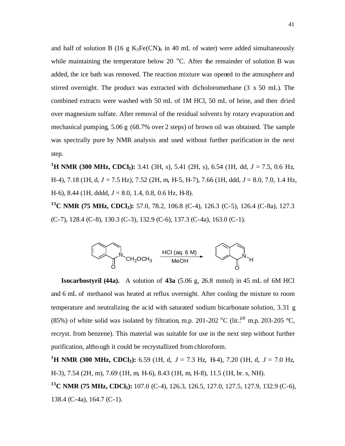and half of solution B (16 g  $K_3Fe(CN)_6$  in 40 mL of water) were added simultaneously while maintaining the temperature below 20  $^{\circ}$ C. After the remainder of solution B was added, the ice bath was removed. The reaction mixture was opened to the atmosphere and stirred overnight. The product was extracted with dicholoromethane (3 x 50 mL). The combined extracts were washed with 50 mL of 1M HCl, 50 mL of brine, and then dried over magnesium sulfate. After removal of the residual solvents by rotary evaporation and mechanical pumping, 5.06 g (68.7% over 2 steps) of brown oil was obtained. The sample was spectrally pure by NMR analysis and used without further purification in the next step.

**<sup>1</sup>H NMR (300 MHz, CDCl3):** 3.41 (3H, s), 5.41 (2H, s), 6.54 (1H, dd, *J* = 7.5, 0.6 Hz, H-4), 7.18 (1H, d, *J* = 7.5 Hz), 7.52 (2H, m, H-5, H-7), 7.66 (1H, ddd, *J* = 8.0, 7.0, 1.4 Hz, H-6), 8.44 (1H, dddd, *J* = 8.0, 1.4, 0.8, 0.6 Hz, H-8).

**<sup>13</sup>C NMR (75 MHz, CDCl3):** 57.0, 78.2, 106.8 (C-4), 126.3 (C-5), 126.4 (C-8a), 127.3  $(C-7)$ , 128.4  $(C-8)$ , 130.3  $(C-3)$ , 132.9  $(C-6)$ , 137.3  $(C-4a)$ , 163.0  $(C-1)$ .



**Isocarbostyril (44a).** A solution of **43a** (5.06 g, 26.8 mmol) in 45 mL of 6M HCl and 6 mL of methanol was heated at reflux overnight. After cooling the mixture to room temperature and neutralizing the acid with saturated sodium bicarbonate solution, 3.31 g (85%) of white solid was isolated by filtration, m.p. 201-202 °C (lit.:68 m.p. 203-205 °C, recryst. from benzene). This material was suitable for use in the next step without further purification, although it could be recrystallized from chloroform.

**<sup>1</sup>H NMR (300 MHz, CDCl3):** 6.59 (1H, d, *J* = 7.3 Hz, H-4), 7.20 (1H, d, *J* = 7.0 Hz, H-3), 7.54 (2H, m), 7.69 (1H, m, H-6), 8.43 (1H, m, H-8), 11.5 (1H, br. s, NH).

**<sup>13</sup>C NMR (75 MHz, CDCl3):** 107.0 (C-4), 126.3, 126.5, 127.0, 127.5, 127.9, 132.9 (C-6), 138.4 (C-4a), 164.7 (C-1).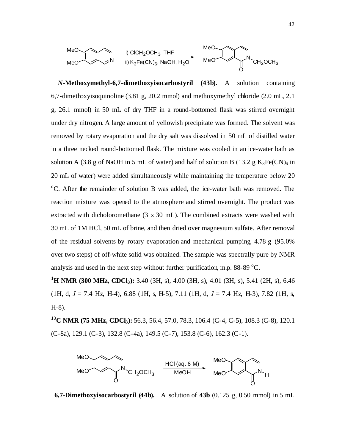

*N***-Methoxymethyl-6,7-dimethoxyisocarbostyril (43b).** A solution containing 6,7-dimethoxyisoquinoline (3.81 g, 20.2 mmol) and methoxymethyl chloride (2.0 mL, 2.1 g, 26.1 mmol) in 50 mL of dry THF in a round-bottomed flask was stirred overnight under dry nitrogen. A large amount of yellowish precipitate was formed. The solvent was removed by rotary evaporation and the dry salt was dissolved in 50 mL of distilled water in a three necked round-bottomed flask. The mixture was cooled in an ice-water bath as solution A (3.8 g of NaOH in 5 mL of water) and half of solution B (13.2 g  $K_3Fe(CN)_6$  in 20 mL of water) were added simultaneously while maintaining the temperature below 20 <sup>o</sup>C. After the remainder of solution B was added, the ice-water bath was removed. The reaction mixture was opened to the atmosphere and stirred overnight. The product was extracted with dicholoromethane (3 x 30 mL). The combined extracts were washed with 30 mL of 1M HCl, 50 mL of brine, and then dried over magnesium sulfate. After removal of the residual solvents by rotary evaporation and mechanical pumping, 4.78 g (95.0% over two steps) of off-white solid was obtained. The sample was spectrally pure by NMR analysis and used in the next step without further purification, m.p.  $88-89^{\circ}$ C.

**<sup>1</sup>H NMR (300 MHz, CDCl3):** 3.40 (3H, s), 4.00 (3H, s), 4.01 (3H, s), 5.41 (2H, s), 6.46 (1H, d, *J* = 7.4 Hz, H-4), 6.88 (1H, s, H-5), 7.11 (1H, d, *J* = 7.4 Hz, H-3), 7.82 (1H, s, H-8).

**<sup>13</sup>C NMR (75 MHz, CDCl3):** 56.3, 56.4, 57.0, 78.3, 106.4 (C-4, C-5), 108.3 (C-8), 120.1 (C-8a), 129.1 (C-3), 132.8 (C-4a), 149.5 (C-7), 153.8 (C-6), 162.3 (C-1).



**6,7-Dimethoxyisocarbostyril (44b).** A solution of **43b** (0.125 g, 0.50 mmol) in 5 mL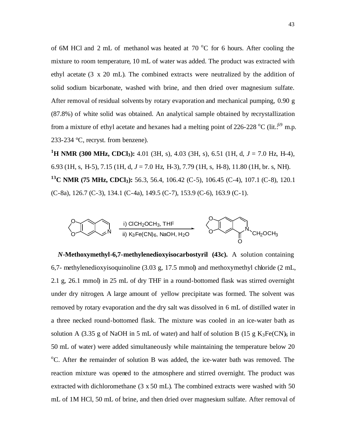of 6M HCl and 2 mL of methanol was heated at  $70\degree$ C for 6 hours. After cooling the mixture to room temperature, 10 mL of water was added. The product was extracted with ethyl acetate (3 x 20 mL). The combined extracts were neutralized by the addition of solid sodium bicarbonate, washed with brine, and then dried over magnesium sulfate. After removal of residual solvents by rotary evaporation and mechanical pumping, 0.90 g (87.8%) of white solid was obtained. An analytical sample obtained by recrystallization from a mixture of ethyl acetate and hexanes had a melting point of 226-228  $^{\circ}$ C (lit.: $^{69}$  m.p. 233-234 °C, recryst. from benzene).

**<sup>1</sup>H NMR (300 MHz, CDCl3):** 4.01 (3H, s), 4.03 (3H, s), 6.51 (1H, d, *J* = 7.0 Hz, H-4), 6.93 (1H, s, H-5), 7.15 (1H, d, *J* = 7.0 Hz, H-3), 7.79 (1H, s, H-8), 11.80 (1H, br. s, NH). **<sup>13</sup>C NMR (75 MHz, CDCl3):** 56.3, 56.4, 106.42 (C-5), 106.45 (C-4), 107.1 (C-8), 120.1 (C-8a), 126.7 (C-3), 134.1 (C-4a), 149.5 (C-7), 153.9 (C-6), 163.9 (C-1).



*N***-Methoxymethyl-6,7-methylenedioxyisocarbostyril (43c).** A solution containing 6,7- methylenedioxyisoquinoline (3.03 g, 17.5 mmol) and methoxymethyl chloride (2 mL, 2.1 g, 26.1 mmol) in 25 mL of dry THF in a round-bottomed flask was stirred overnight under dry nitrogen. A large amount of yellow precipitate was formed. The solvent was removed by rotary evaporation and the dry salt was dissolved in 6 mL of distilled water in a three necked round-bottomed flask. The mixture was cooled in an ice-water bath as solution A (3.35 g of NaOH in 5 mL of water) and half of solution B (15 g  $K_3Fe(CN)_6$  in 50 mL of water) were added simultaneously while maintaining the temperature below 20 <sup>o</sup>C. After the remainder of solution B was added, the ice-water bath was removed. The reaction mixture was opened to the atmosphere and stirred overnight. The product was extracted with dichloromethane (3 x 50 mL). The combined extracts were washed with 50 mL of 1M HCl, 50 mL of brine, and then dried over magnesium sulfate. After removal of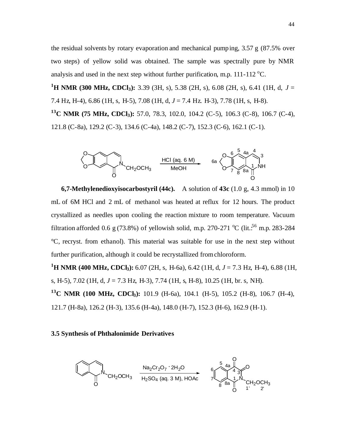the residual solvents by rotary evaporation and mechanical pumping, 3.57 g (87.5% over two steps) of yellow solid was obtained. The sample was spectrally pure by NMR analysis and used in the next step without further purification, m.p.  $111-112$  °C.

**<sup>1</sup>H NMR (300 MHz, CDCl3):** 3.39 (3H, s), 5.38 (2H, s), 6.08 (2H, s), 6.41 (1H, d, *J* = 7.4 Hz, H-4), 6.86 (1H, s, H-5), 7.08 (1H, d, *J* = 7.4 Hz. H-3), 7.78 (1H, s, H-8). **<sup>13</sup>C NMR (75 MHz, CDCl3):** 57.0, 78.3, 102.0, 104.2 (C-5), 106.3 (C-8), 106.7 (C-4), 121.8 (C-8a), 129.2 (C-3), 134.6 (C-4a), 148.2 (C-7), 152.3 (C-6), 162.1 (C-1).



**6,7-Methylenedioxyisocarbostyril (44c).** A solution of **43c** (1.0 g, 4.3 mmol) in 10 mL of 6M HCl and 2 mL of methanol was heated at reflux for 12 hours. The product crystallized as needles upon cooling the reaction mixture to room temperature. Vacuum filtration afforded 0.6 g (73.8%) of yellowish solid, m.p. 270-271 °C (lit.<sup>56</sup> m.p. 283-284 °C, recryst. from ethanol). This material was suitable for use in the next step without further purification, although it could be recrystallized from chloroform.

**<sup>1</sup>H NMR (400 MHz, CDCl3):** 6.07 (2H, s, H-6a), 6.42 (1H, d, *J* = 7.3 Hz, H-4), 6.88 (1H, s, H-5), 7.02 (1H, d, *J* = 7.3 Hz, H-3), 7.74 (1H, s, H-8), 10.25 (1H, br. s, NH). **<sup>13</sup>C NMR (100 MHz, CDCl3):** 101.9 (H-6a), 104.1 (H-5), 105.2 (H-8), 106.7 (H-4), 121.7 (H-8a), 126.2 (H-3), 135.6 (H-4a), 148.0 (H-7), 152.3 (H-6), 162.9 (H-1).

#### **3.5 Synthesis of Phthalonimide Derivatives**

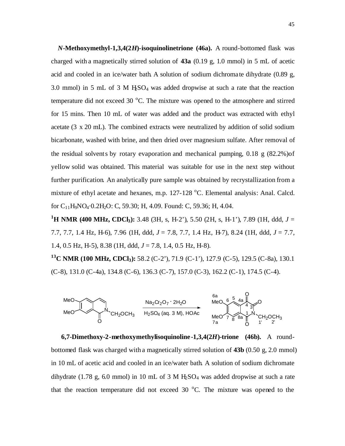*N***-Methoxymethyl-1,3,4(2***H***)-isoquinolinetrione (46a).** A round-bottomed flask was charged with a magnetically stirred solution of **43a** (0.19 g, 1.0 mmol) in 5 mL of acetic acid and cooled in an ice/water bath. A solution of sodium dichroma te dihydrate (0.89 g, 3.0 mmol) in 5 mL of 3 M  $HSO<sub>4</sub>$  was added dropwise at such a rate that the reaction temperature did not exceed 30  $^{\circ}$ C. The mixture was opened to the atmosphere and stirred for 15 mins. Then 10 mL of water was added and the product was extracted with ethyl acetate (3 x 20 mL). The combined extracts were neutralized by addition of solid sodium bicarbonate, washed with brine, and then dried over magnesium sulfate. After removal of the residual solvents by rotary evaporation and mechanical pumping,  $0.18 \text{ g} (82.2\%)$  of yellow solid was obtained. This material was suitable for use in the next step without further purification. An analytically pure sample was obtained by recrystallization from a mixture of ethyl acetate and hexanes, m.p. 127-128 °C. Elemental analysis: Anal. Calcd. for C<sub>11</sub>H<sub>9</sub>NO<sub>4</sub>·0.2H<sub>2</sub>O: C, 59.30; H, 4.09. Found: C, 59.36; H, 4.04.

**<sup>1</sup>H NMR (400 MHz, CDCl3):** 3.48 (3H, s, H-2'), 5.50 (2H, s, H-1'), 7.89 (1H, ddd, *J* = 7.7, 7.7, 1.4 Hz, H-6), 7.96 (1H, ddd, *J* = 7.8, 7.7, 1.4 Hz, H-7), 8.24 (1H, ddd, *J* = 7.7, 1.4, 0.5 Hz, H-5), 8.38 (1H, ddd, *J* = 7.8, 1.4, 0.5 Hz, H-8).

**<sup>13</sup>C NMR (100 MHz, CDCl3):** 58.2 (C-2'), 71.9 (C-1'), 127.9 (C-5), 129.5 (C-8a), 130.1 (C-8), 131.0 (C-4a), 134.8 (C-6), 136.3 (C-7), 157.0 (C-3), 162.2 (C-1), 174.5 (C-4).



**6,7-Dimethoxy-2-methoxymethylisoquinoline -1,3,4(2***H***)-trione (46b).** A roundbottomed flask was charged with a magnetically stirred solution of **43b** (0.50 g, 2.0 mmol) in 10 mL of acetic acid and cooled in an ice/water bath. A solution of sodium dichromate dihydrate (1.78 g, 6.0 mmol) in 10 mL of 3 M  $H_2SO_4$  was added dropwise at such a rate that the reaction temperature did not exceed 30  $^{\circ}$ C. The mixture was opened to the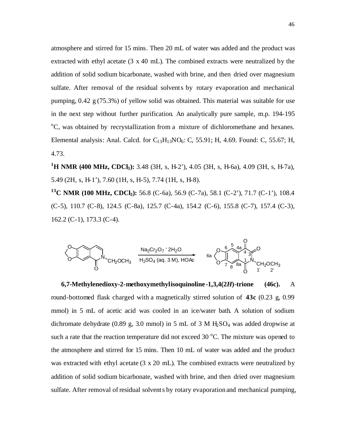atmosphere and stirred for 15 mins. Then 20 mL of water was added and the product was extracted with ethyl acetate (3 x 40 mL). The combined extracts were neutralized by the addition of solid sodium bicarbonate, washed with brine, and then dried over magnesium sulfate. After removal of the residual solvents by rotary evaporation and mechanical pumping, 0.42 g (75.3%) of yellow solid was obtained. This material was suitable for use in the next step without further purification. An analytically pure sample, m.p. 194-195 <sup>o</sup>C, was obtained by recrystallization from a mixture of dichloromethane and hexanes. Elemental analysis: Anal. Calcd. for  $C_{13}H_{13}NO_6$ : C, 55.91; H, 4.69. Found: C, 55.67; H, 4.73.

**<sup>1</sup>H NMR (400 MHz, CDCl3):** 3.48 (3H, s, H-2'), 4.05 (3H, s, H-6a), 4.09 (3H, s, H-7a), 5.49 (2H, s, H-1'), 7.60 (1H, s, H-5), 7.74 (1H, s, H-8).

**<sup>13</sup>C NMR (100 MHz, CDCl3):** 56.8 (C-6a), 56.9 (C-7a), 58.1 (C-2'), 71.7 (C-1'), 108.4 (C-5), 110.7 (C-8), 124.5 (C-8a), 125.7 (C-4a), 154.2 (C-6), 155.8 (C-7), 157.4 (C-3), 162.2 (C-1), 173.3 (C-4).



**6,7-Methylenedioxy-2-methoxymethylisoquinoline -1,3,4(2***H***)-trione (46c).** A round-bottomed flask charged with a magnetically stirred solution of **43c** (0.23 g, 0.99 mmol) in 5 mL of acetic acid was cooled in an ice/water bath. A solution of sodium dichromate dehydrate (0.89 g, 3.0 mmol) in 5 mL of 3 M  $H_5SO_4$  was added dropwise at such a rate that the reaction temperature did not exceed  $30^{\circ}$ C. The mixture was opened to the atmosphere and stirred for 15 mins. Then 10 mL of water was added and the product was extracted with ethyl acetate (3 x 20 mL). The combined extracts were neutralized by addition of solid sodium bicarbonate, washed with brine, and then dried over magnesium sulfate. After removal of residual solvents by rotary evaporation and mechanical pumping,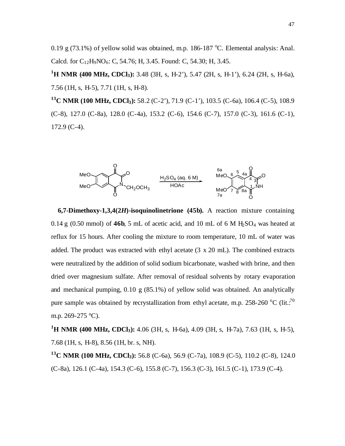0.19 g (73.1%) of yellow solid was obtained, m.p. 186-187  $^{\circ}$ C. Elemental analysis: Anal. Calcd. for  $C_{12}H_9NO_6$ : C, 54.76; H, 3.45. Found: C, 54.30; H, 3.45.

**<sup>1</sup>H NMR (400 MHz, CDCl3):** 3.48 (3H, s, H-2'), 5.47 (2H, s, H-1'), 6.24 (2H, s, H-6a), 7.56 (1H, s, H-5), 7.71 (1H, s, H-8).

**<sup>13</sup>C NMR (100 MHz, CDCl3):** 58.2 (C-2'), 71.9 (C-1'), 103.5 (C-6a), 106.4 (C-5), 108.9 (C-8), 127.0 (C-8a), 128.0 (C-4a), 153.2 (C-6), 154.6 (C-7), 157.0 (C-3), 161.6 (C-1), 172.9 (C-4).



**6,7-Dimethoxy-1,3,4(2***H***)-isoquinolinetrione (45b).** A reaction mixture containing  $0.14$  g  $(0.50$  mmol) of  $46b$ , 5 mL of acetic acid, and 10 mL of 6 M H<sub>2</sub>SO<sub>4</sub> was heated at reflux for 15 hours. After cooling the mixture to room temperature, 10 mL of water was added. The product was extracted with ethyl acetate (3 x 20 mL). The combined extracts were neutralized by the addition of solid sodium bicarbonate, washed with brine, and then dried over magnesium sulfate. After removal of residual solvents by rotary evaporation and mechanical pumping, 0.10 g (85.1%) of yellow solid was obtained. An analytically pure sample was obtained by recrystallization from ethyl acetate, m.p. 258-260  $^{\circ}$ C (lit.:<sup>70</sup>) m.p. 269-275 °C).

**<sup>1</sup>H NMR (400 MHz, CDCl3):** 4.06 (3H, s, H-6a), 4.09 (3H, s, H-7a), 7.63 (1H, s, H-5), 7.68 (1H, s, H-8), 8.56 (1H, br. s, NH).

**<sup>13</sup>C NMR (100 MHz, CDCl3):** 56.8 (C-6a), 56.9 (C-7a), 108.9 (C-5), 110.2 (C-8), 124.0 (C-8a), 126.1 (C-4a), 154.3 (C-6), 155.8 (C-7), 156.3 (C-3), 161.5 (C-1), 173.9 (C-4).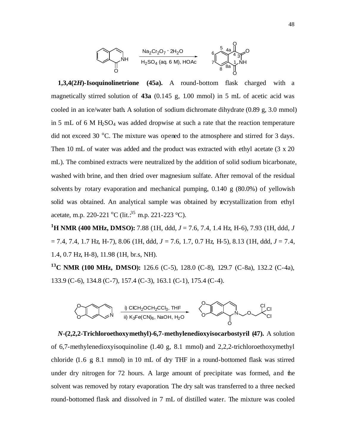

**1,3,4(2***H***)-Isoquinolinetrione (45a).** A round-bottom flask charged with a magnetically stirred solution of **43a** (0.145 g, 1.00 mmol) in 5 mL of acetic acid was cooled in an ice/water bath. A solution of sodium dichromate dihydrate (0.89 g, 3.0 mmol) in 5 mL of 6 M  $H_2SO_4$  was added dropwise at such a rate that the reaction temperature did not exceed 30  $^{\circ}$ C. The mixture was opened to the atmosphere and stirred for 3 days. Then 10 mL of water was added and the product was extracted with ethyl acetate (3 x 20 mL). The combined extracts were neutralized by the addition of solid sodium bicarbonate, washed with brine, and then dried over magnesium sulfate. After removal of the residual solvents by rotary evaporation and mechanical pumping,  $0.140 \text{ g} (80.0\%)$  of yellowish solid was obtained. An analytical sample was obtained by recrystallization from ethyl acetate, m.p. 220-221  $^{\circ}$ C (lit.<sup>35</sup> m.p. 221-223  $^{\circ}$ C).

**<sup>1</sup>H NMR (400 MHz, DMSO):** 7.88 (1H, ddd, *J* = 7.6, 7.4, 1.4 Hz, H-6), 7.93 (1H, ddd, *J* = 7.4, 7.4, 1.7 Hz, H-7), 8.06 (1H, ddd, *J* = 7.6, 1.7, 0.7 Hz, H-5), 8.13 (1H, ddd, *J* = 7.4, 1.4, 0.7 Hz, H-8), 11.98 (1H, br.s, NH).

**<sup>13</sup>C NMR (100 MHz, DMSO):** 126.6 (C-5), 128.0 (C-8), 129.7 (C-8a), 132.2 (C-4a), 133.9 (C-6), 134.8 (C-7), 157.4 (C-3), 163.1 (C-1), 175.4 (C-4).



*N***-(2,2,2-Trichloroethoxymethyl)-6,7-methylenedioxyisocarbostyril (47).** A solution of 6,7-methylenedioxyisoquinoline (1.40 g, 8.1 mmol) and 2,2,2-trichloroethoxymethyl chloride (1.6 g, 8.1 mmol) in 10 mL of dry THF in a round-bottomed flask was stirred under dry nitrogen for 72 hours. A large amount of precipitate was formed, and the solvent was removed by rotary evaporation. The dry salt was transferred to a three necked round-bottomed flask and dissolved in 7 mL of distilled water. The mixture was cooled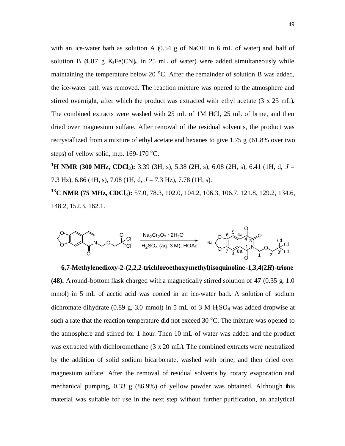with an ice-water bath as solution A  $(0.54 \text{ g of NaOH}$  in 6 mL of water) and half of solution B  $(4.87 \text{ g } K_3\text{Fe(CN)}_6 \text{ in } 25 \text{ mL of water})$  were added simultaneously while maintaining the temperature below 20  $^{\circ}$ C. After the remainder of solution B was added, the ice-water bath was removed. The reaction mixture was opened to the atmosphere and stirred overnight, after which the product was extracted with ethyl acetate (3 x 25 mL). The combined extracts were washed with 25 mL of 1M HCl, 25 mL of brine, and then dried over magnesium sulfate. After removal of the residual solvents, the product was recrystallized from a mixture of ethyl acetate and hexanes to give 1.75 g (61.8% over two steps) of yellow solid, m.p.  $169-170$  °C.

**<sup>1</sup>H NMR (300 MHz, CDCl3):** 3.39 (3H, s), 5.38 (2H, s), 6.08 (2H, s), 6.41 (1H, d, *J* = 7.3 Hz), 6.86 (1H, s), 7.08 (1H, d, *J* = 7.3 Hz), 7.78 (1H, s).

**<sup>13</sup>C NMR (75 MHz, CDCl3):** 57.0, 78.3, 102.0, 104.2, 106.3, 106.7, 121.8, 129.2, 134.6, 148.2, 152.3, 162.1.

H2SO<sup>4</sup> (aq. 3 M), HOAc Na2Cr2O<sup>7</sup> **.** 2H2<sup>O</sup> N O O O O Cl Cl Cl O Cl Cl Cl <sup>N</sup> O O O 5 8 3 4 8a 4a 1 1' 6 7 O O 6a 2' 3'

**6,7-Methylenedioxy-2-(2,2,2-trichloroethoxymethyl)isoquinoline -1,3,4(2***H***)-trione (48).** A round-bottom flask charged with a magnetically stirred solution of **47** (0.35 g, 1.0 mmol) in 5 mL of acetic acid was cooled in an ice-water bath. A solution of sodium dichromate dihydrate (0.89 g, 3.0 mmol) in 5 mL of 3 M  $H<sub>5</sub>O<sub>4</sub>$  was added dropwise at such a rate that the reaction temperature did not exceed  $30^{\circ}$ C. The mixture was opened to the atmosphere and stirred for 1 hour. Then 10 mL of water was added and the product was extracted with dichloromethane (3 x 20 mL). The combined extracts were neutralized by the addition of solid sodium bicarbonate, washed with brine, and then dried over magnesium sulfate. After the removal of residual solvents by rotary evaporation and mechanical pumping, 0.33 g (86.9%) of yellow powder was obtained. Although this material was suitable for use in the next step without further purification, an analytical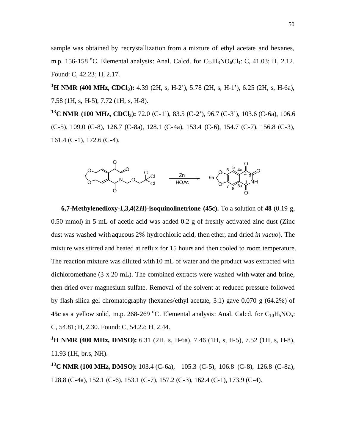sample was obtained by recrystallization from a mixture of ethyl acetate and hexanes, m.p. 156-158 °C. Elemental analysis: Anal. Calcd. for  $C_{13}H_8NO_6Cl_3$ : C, 41.03; H, 2.12. Found: C, 42.23; H, 2.17.

**<sup>1</sup>H NMR (400 MHz, CDCl3):** 4.39 (2H, s, H-2'), 5.78 (2H, s, H-1'), 6.25 (2H, s, H-6a), 7.58 (1H, s, H-5), 7.72 (1H, s, H-8).

**<sup>13</sup>C NMR (100 MHz, CDCl3):** 72.0 (C-1'), 83.5 (C-2'), 96.7 (C-3'), 103.6 (C-6a), 106.6 (C-5), 109.0 (C-8), 126.7 (C-8a), 128.1 (C-4a), 153.4 (C-6), 154.7 (C-7), 156.8 (C-3), 161.4 (C-1), 172.6 (C-4).



**6,7-Methylenedioxy-1,3,4(2***H***)-isoquinolinetrione (45c).** To a solution of 48 (0.19 g, 0.50 mmol) in 5 mL of acetic acid was added 0.2 g of freshly activated zinc dust (Zinc dust was washed with aqueous 2% hydrochloric acid, then ether, and dried *in vacuo*). The mixture was stirred and heated at reflux for 15 hours and then cooled to room temperature. The reaction mixture was diluted with 10 mL of water and the product was extracted with dichloromethane (3 x 20 mL). The combined extracts were washed with water and brine, then dried over magnesium sulfate. Removal of the solvent at reduced pressure followed by flash silica gel chromatography (hexanes/ethyl acetate, 3:1) gave 0.070 g (64.2%) of **45c** as a yellow solid, m.p. 268-269 °C. Elemental analysis: Anal. Calcd. for  $C_{10}H_5NO_5$ : C, 54.81; H, 2.30. Found: C, 54.22; H, 2.44.

**<sup>1</sup>H NMR (400 MHz, DMSO):** 6.31 (2H, s, H-6a), 7.46 (1H, s, H-5), 7.52 (1H, s, H-8), 11.93 (1H, br.s, NH).

**<sup>13</sup>C NMR (100 MHz, DMSO):** 103.4 (C-6a), 105.3 (C-5), 106.8 (C-8), 126.8 (C-8a), 128.8 (C-4a), 152.1 (C-6), 153.1 (C-7), 157.2 (C-3), 162.4 (C-1), 173.9 (C-4).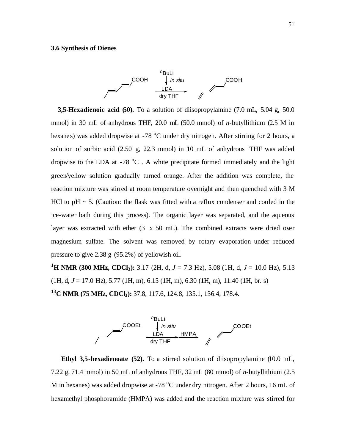#### **3.6 Synthesis of Dienes**



**3,5-Hexadienoic acid (50).** To a solution of diisopropylamine (7.0 mL, 5.04 g, 50.0 mmol) in 30 mL of anhydrous THF, 20.0 mL (50.0 mmol) of *n*-butyllithium (2.5 M in hexanes) was added dropwise at  $-78$  °C under dry nitrogen. After stirring for 2 hours, a solution of sorbic acid (2.50 g, 22.3 mmol) in 10 mL of anhydrous THF was added dropwise to the LDA at -78  $^{\circ}$ C. A white precipitate formed immediately and the light green/yellow solution gradually turned orange. After the addition was complete, the reaction mixture was stirred at room temperature overnight and then quenched with 3 M HCl to  $pH \sim 5$ . (Caution: the flask was fitted with a reflux condenser and cooled in the ice-water bath during this process). The organic layer was separated, and the aqueous layer was extracted with ether (3 x 50 mL). The combined extracts were dried over magnesium sulfate. The solvent was removed by rotary evaporation under reduced pressure to give 2.38 g (95.2%) of yellowish oil.

**<sup>1</sup>H NMR (300 MHz, CDCl3):** 3.17 (2H, d, *J* = 7.3 Hz), 5.08 (1H, d, *J* = 10.0 Hz), 5.13 (1H, d, *J* = 17.0 Hz), 5.77 (1H, m), 6.15 (1H, m), 6.30 (1H, m), 11.40 (1H, br. s) **<sup>13</sup>C NMR (75 MHz, CDCl3):** 37.8, 117.6, 124.8, 135.1, 136.4, 178.4.



**Ethyl 3,5-hexadienoate (52).** To a stirred solution of diisopropylamine (10.0 mL, 7.22 g, 71.4 mmol) in 50 mL of anhydrous THF, 32 mL (80 mmol) of *n*-butyllithium (2.5 M in hexanes) was added dropwise at -78  $^{\circ}$ C under dry nitrogen. After 2 hours, 16 mL of hexamethyl phosphoramide (HMPA) was added and the reaction mixture was stirred for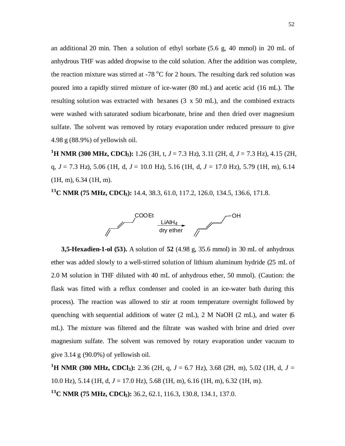an additional 20 min. Then a solution of ethyl sorbate (5.6 g, 40 mmol) in 20 mL of anhydrous THF was added dropwise to the cold solution. After the addition was complete, the reaction mixture was stirred at  $-78\,^{\circ}\text{C}$  for 2 hours. The resulting dark red solution was poured into a rapidly stirred mixture of ice-water (80 mL) and acetic acid (16 mL). The resulting solution was extracted with hexanes (3 x 50 mL), and the combined extracts were washed with saturated sodium bicarbonate, brine and then dried over magnesium sulfate. The solvent was removed by rotary evaporation under reduced pressure to give 4.98 g (88.9%) of yellowish oil.

**<sup>1</sup>H NMR (300 MHz, CDCl3):** 1.26 (3H, t, *J* = 7.3 Hz), 3.11 (2H, d, *J* = 7.3 Hz), 4.15 (2H, q, *J* = 7.3 Hz), 5.06 (1H, d, *J* = 10.0 Hz), 5.16 (1H, d, *J* = 17.0 Hz), 5.79 (1H, m), 6.14 (1H, m), 6.34 (1H, m).

**<sup>13</sup>C NMR (75 MHz, CDCl3):** 14.4, 38.3, 61.0, 117.2, 126.0, 134.5, 136.6, 171.8.



**3,5-Hexadien-1-ol (53).** A solution of **52** (4.98 g, 35.6 mmol) in 30 mL of anhydrous ether was added slowly to a well-stirred solution of lithium aluminum hydride (25 mL of 2.0 M solution in THF diluted with 40 mL of anhydrous ether, 50 mmol). (Caution: the flask was fitted with a reflux condenser and cooled in an ice-water bath during this process). The reaction was allowed to stir at room temperature overnight followed by quenching with sequential additions of water  $(2 \text{ mL})$ ,  $(2 \text{ mL})$ ,  $(2 \text{ mL})$ , and water (6) mL). The mixture was filtered and the filtrate was washed with brine and dried over magnesium sulfate. The solvent was removed by rotary evaporation under vacuum to give  $3.14$  g  $(90.0\%)$  of yellowish oil.

**<sup>1</sup>H NMR (300 MHz, CDCl3):** 2.36 (2H, q, *J* = 6.7 Hz), 3.68 (2H, m), 5.02 (1H, d, *J* = 10.0 Hz), 5.14 (1H, d, *J* = 17.0 Hz), 5.68 (1H, m), 6.16 (1H, m), 6.32 (1H, m). **<sup>13</sup>C NMR (75 MHz, CDCl3):** 36.2, 62.1, 116.3, 130.8, 134.1, 137.0.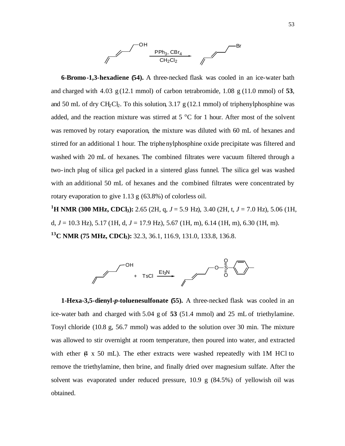

 **6-Bromo-1,3-hexadiene (54).** A three-necked flask was cooled in an ice-water bath and charged with 4.03 g (12.1 mmol) of carbon tetrabromide, 1.08 g (11.0 mmol) of **53**, and 50 mL of dry CH<sub>2</sub>Cl<sub>2</sub>. To this solution, 3.17 g (12.1 mmol) of triphenylphosphine was added, and the reaction mixture was stirred at  $5^{\circ}$ C for 1 hour. After most of the solvent was removed by rotary evaporation, the mixture was diluted with 60 mL of hexanes and stirred for an additional 1 hour. The triphenylphosphine oxide precipitate was filtered and washed with 20 mL of hexanes. The combined filtrates were vacuum filtered through a two-inch plug of silica gel packed in a sintered glass funnel. The silica gel was washed with an additional 50 mL of hexanes and the combined filtrates were concentrated by rotary evaporation to give 1.13 g (63.8%) of colorless oil.

**<sup>1</sup>H NMR (300 MHz, CDCl3):** 2.65 (2H, q, *J* = 5.9 Hz), 3.40 (2H, t, *J* = 7.0 Hz), 5.06 (1H, d, *J* = 10.3 Hz), 5.17 (1H, d, *J* = 17.9 Hz), 5.67 (1H, m), 6.14 (1H, m), 6.30 (1H, m). **<sup>13</sup>C NMR (75 MHz, CDCl3):** 32.3, 36.1, 116.9, 131.0, 133.8, 136.8.



**1-Hexa-3,5-dienyl-***p***-toluenesulfonate (55).** A three-necked flask was cooled in an ice-water bath and charged with 5.04 g of **53** (51.4 mmol) and 25 mL of triethylamine. Tosyl chloride (10.8 g, 56.7 mmol) was added to the solution over 30 min. The mixture was allowed to stir overnight at room temperature, then poured into water, and extracted with ether  $(4 \times 50 \text{ mL})$ . The ether extracts were washed repeatedly with 1M HCl to remove the triethylamine, then brine, and finally dried over magnesium sulfate. After the solvent was evaporated under reduced pressure, 10.9 g (84.5%) of yellowish oil was obtained.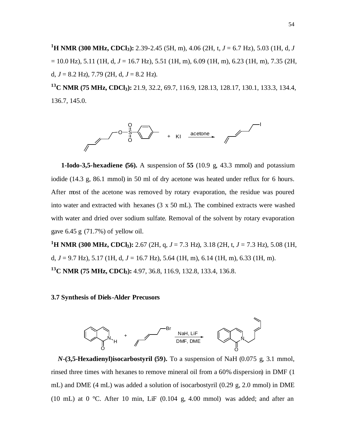**<sup>1</sup>H NMR (300 MHz, CDCl3):** 2.39-2.45 (5H, m), 4.06 (2H, t, *J* = 6.7 Hz), 5.03 (1H, d, *J* = 10.0 Hz), 5.11 (1H, d, *J* = 16.7 Hz), 5.51 (1H, m), 6.09 (1H, m), 6.23 (1H, m), 7.35 (2H, d,  $J = 8.2$  Hz), 7.79 (2H, d,  $J = 8.2$  Hz).

**<sup>13</sup>C NMR (75 MHz, CDCl3):** 21.9, 32.2, 69.7, 116.9, 128.13, 128.17, 130.1, 133.3, 134.4, 136.7, 145.0.



 **1-Iodo-3,5-hexadiene (56).** A suspension of **55** (10.9 g, 43.3 mmol) and potassium iodide (14.3 g, 86.1 mmol) in 50 ml of dry acetone was heated under reflux for 6 hours. After most of the acetone was removed by rotary evaporation, the residue was poured into water and extracted with hexanes (3 x 50 mL). The combined extracts were washed with water and dried over sodium sulfate. Removal of the solvent by rotary evaporation gave 6.45 g (71.7%) of yellow oil.

**<sup>1</sup>H NMR (300 MHz, CDCl3):** 2.67 (2H, q, *J* = 7.3 Hz), 3.18 (2H, t, *J* = 7.3 Hz), 5.08 (1H, d, *J* = 9.7 Hz), 5.17 (1H, d, *J* = 16.7 Hz), 5.64 (1H, m), 6.14 (1H, m), 6.33 (1H, m). **<sup>13</sup>C NMR (75 MHz, CDCl3):** 4.97, 36.8, 116.9, 132.8, 133.4, 136.8.

**3.7 Synthesis of Diels-Alder Precusors**



 *N***-(3,5-Hexadienyl)isocarbostyril (59).** To a suspension of NaH (0.075 g, 3.1 mmol, rinsed three times with hexanes to remove mineral oil from a 60% dispersion) in DMF (1 mL) and DME (4 mL) was added a solution of isocarbostyril (0.29 g, 2.0 mmol) in DME (10 mL) at 0  $\degree$ C. After 10 min, LiF (0.104 g, 4.00 mmol) was added; and after an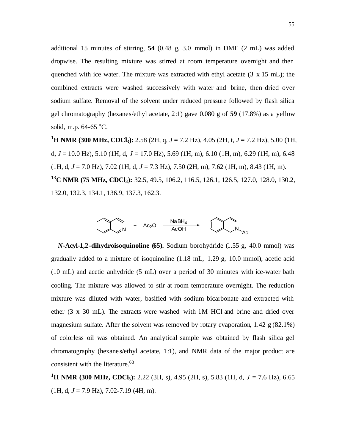additional 15 minutes of stirring, **54** (0.48 g, 3.0 mmol) in DME (2 mL) was added dropwise. The resulting mixture was stirred at room temperature overnight and then quenched with ice water. The mixture was extracted with ethyl acetate (3 x 15 mL); the combined extracts were washed successively with water and brine, then dried over sodium sulfate. Removal of the solvent under reduced pressure followed by flash silica gel chromatography (hexanes/ethyl acetate, 2:1) gave 0.080 g of **59** (17.8%) as a yellow solid, m.p.  $64-65$  °C.

**<sup>1</sup>H NMR (300 MHz, CDCl3):** 2.58 (2H, q, *J* = 7.2 Hz), 4.05 (2H, t, *J* = 7.2 Hz), 5.00 (1H, d,  $J = 10.0$  Hz),  $5.10$  (1H, d,  $J = 17.0$  Hz),  $5.69$  (1H, m),  $6.10$  (1H, m),  $6.29$  (1H, m),  $6.48$ (1H, d, *J* = 7.0 Hz), 7.02 (1H, d, *J* = 7.3 Hz), 7.50 (2H, m), 7.62 (1H, m), 8.43 (1H, m). **<sup>13</sup>C NMR (75 MHz, CDCl3):** 32.5, 49.5, 106.2, 116.5, 126.1, 126.5, 127.0, 128.0, 130.2, 132.0, 132.3, 134.1, 136.9, 137.3, 162.3.



*N***-Acyl-1,2-dihydroisoquinoline (65).** Sodium borohydride (1.55 g, 40.0 mmol) was gradually added to a mixture of isoquinoline (1.18 mL, 1.29 g, 10.0 mmol), acetic acid (10 mL) and acetic anhydride (5 mL) over a period of 30 minutes with ice-water bath cooling. The mixture was allowed to stir at room temperature overnight. The reduction mixture was diluted with water, basified with sodium bicarbonate and extracted with ether (3 x 30 mL). The extracts were washed with 1M HCl and brine and dried over magnesium sulfate. After the solvent was removed by rotary evaporation,  $1.42 \text{ g} (82.1\%)$ of colorless oil was obtained. An analytical sample was obtained by flash silica gel chromatography (hexane s/ethyl acetate, 1:1), and NMR data of the major product are consistent with the literature. 63

**<sup>1</sup>H NMR (300 MHz, CDCl3):** 2.22 (3H, s), 4.95 (2H, s), 5.83 (1H, d, *J* = 7.6 Hz), 6.65  $(1H, d, J = 7.9 Hz)$ , 7.02-7.19 (4H, m).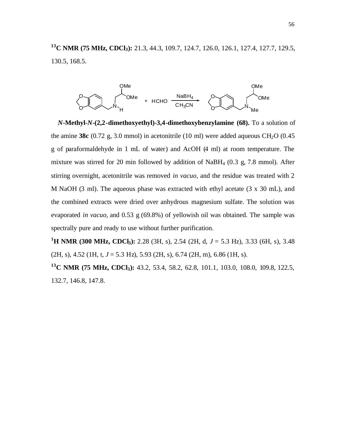**<sup>13</sup>C NMR (75 MHz, CDCl3):** 21.3, 44.3, 109.7, 124.7, 126.0, 126.1, 127.4, 127.7, 129.5, 130.5, 168.5.



*N***-Methyl-***N***-(2,2-dimethoxyethyl)-3,4-dimethoxybenzylamine (68).** To a solution of the amine **38c** (0.72 g, 3.0 mmol) in acetonitrile (10 ml) were added aqueous  $CH<sub>2</sub>O$  (0.45 g of paraformaldehyde in 1 mL of water) and AcOH (4 ml) at room temperature. The mixture was stirred for 20 min followed by addition of NaBH<sup>4</sup> (0.3 g, 7.8 mmol). After stirring overnight, acetonitrile was removed *in vacuo*, and the residue was treated with 2 M NaOH (3 ml). The aqueous phase was extracted with ethyl acetate (3 x 30 mL), and the combined extracts were dried over anhydrous magnesium sulfate. The solution was evaporated *in vacuo*, and 0.53 g (69.8%) of yellowish oil was obtained. The sample was spectrally pure and ready to use without further purification.

**<sup>1</sup>H NMR (300 MHz, CDCl3):** 2.28 (3H, s), 2.54 (2H, d, *J* = 5.3 Hz), 3.33 (6H, s), 3.48 (2H, s), 4.52 (1H, t, *J* = 5.3 Hz), 5.93 (2H, s), 6.74 (2H, m), 6.86 (1H, s).

**<sup>13</sup>C NMR (75 MHz, CDCl3):** 43.2, 53.4, 58.2, 62.8, 101.1, 103.0, 108.0, 109.8, 122.5, 132.7, 146.8, 147.8.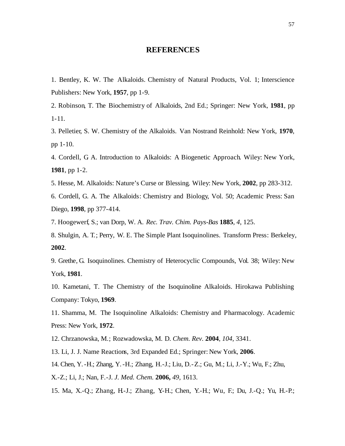#### **REFERENCES**

1. Bentley, K. W. The Alkaloids. Chemistry of Natural Products, Vol. 1; Interscience Publishers: New York, **1957**, pp 1-9.

2. Robinson, T. The Biochemistry of Alkaloids, 2nd Ed.; Springer: New York, **1981**, pp 1-11.

3. Pelletier, S. W. Chemistry of the Alkaloids. Van Nostrand Reinhold: New York, **1970**, pp 1-10.

4. Cordell, G. A. Introduction to Alkaloids: A Biogenetic Approach. Wiley: New York, **1981**, pp 1-2.

5. Hesse, M. Alkaloids: Nature's Curse or Blessing. Wiley: New York, **2002**, pp 283-312.

6. Cordell, G. A. The Alkaloids: Chemistry and Biology, Vol. 50; Academic Press: San Diego, **1998**, pp 377-414.

7. Hoogewerf, S.; van Dorp, W. A. *Rec. Trav. Chim. Pays-Bas* **1885**, *4*, 125.

8. Shulgin, A. T.; Perry, W. E. The Simple Plant Isoquinolines. Transform Press: Berkeley, **2002**.

9. Grethe, G. Isoquinolines. Chemistry of Heterocyclic Compounds, Vol. 38; Wiley: New York, **1981**.

10. Kametani, T. The Chemistry of the Isoquinoline Alkaloids. Hirokawa Publishing Company: Tokyo, **1969**.

11. Shamma, M. The Isoquinoline Alkaloids: Chemistry and Pharmacology. Academic Press: New York, **1972**.

12. Chrzanowska, M.; Rozwadowska, M. D. *Chem. Rev.* **2004**, *104*, 3341.

13. Li, J. J. Name Reactions, 3rd Expanded Ed.; Springer: New York, **2006**.

14. Chen, Y.-H.; Zhang, Y.-H.; Zhang, H.-J.; Liu, D.-Z.; Gu, M.; Li, J.-Y.; Wu, F.; Zhu,

X.-Z.; Li, J.; Nan, F.-J. *J. Med. Chem.* **2006,** *49,* 1613.

15. Ma, X.-Q.; Zhang, H.-J.; Zhang, Y.-H.; Chen, Y.-H.; Wu, F.; Du, J.-Q.; Yu, H.-P.;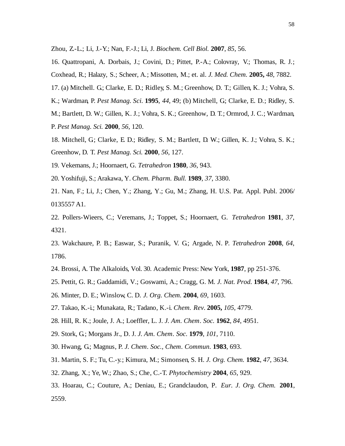Zhou, Z.-L.; Li, J.-Y.; Nan, F.-J.; Li, J. *Biochem. Cell Biol.* **2007**, *85*, 56.

16. Quattropani, A. Dorbais, J.; Covini, D.; Pittet, P.-A.; Colovray, V.; Thomas, R. J.; Coxhead, R.; Halazy, S.; Scheer, A.; Missotten, M.; et. al. *J. Med. Chem.* **2005,** *48,* 7882.

17. (a) Mitchell. G; Clarke, E. D.; Ridley, S. M.; Greenhow, D. T.; Gillen, K. J.; Vohra, S.

K.; Wardman, P. *Pest Manag. Sci.* **1995**, *44*, 49; (b) Mitchell, G.; Clarke, E. D.; Ridley, S.

M.; Bartlett, D. W.; Gillen, K. J.; Vohra, S. K.; Greenhow, D. T.; Ormrod, J. C.; Wardman, P. *Pest Manag. Sci.* **2000**, *56*, 120.

- 18. Mitchell, G: Clarke, E. D.; Ridley, S. M.; Bartlett, D. W.; Gillen, K. J.; Vohra, S. K.; Greenhow, D. T. *Pest Manag. Sci.* **2000**, *56*, 127.
- 19. Vekemans, J.; Hoornaert, G. *Tetrahedron* **1980**, *36*, 943.
- 20. Yoshifuji, S.; Arakawa, Y. *Chem. Pharm. Bull.* **1989**, *37*, 3380.
- 21. Nan, F.; Li, J.; Chen, Y.; Zhang, Y.; Gu, M.; Zhang, H. U.S. Pat. Appl. Publ. 2006/ 0135557 A1.
- 22. Pollers-Wieers, C.; Veremans, J.; Toppet, S.; Hoornaert, G. *Tetrahedron* **1981**, *37*, 4321.
- 23. Wakchaure, P. B.; Easwar, S.; Puranik, V. G.; Argade, N. P. *Tetrahedron* **2008**, *64*, 1786.
- 24. Brossi, A. The Alkaloids, Vol. 30. Academic Press: New York, **1987**, pp 251-376.
- 25. Pettit, G. R.; Gaddamidi, V.; Goswami, A.; Cragg, G. M*. J. Nat. Prod.* **1984**, *47*, 796.
- 26. Minter, D. E.; Winslow, C. D. *J. Org. Chem.* **2004**, *69*, 1603.
- 27. Takao, K.-i.; Munakata, R.; Tadano, K.-i. *Chem. Rev.* **2005,** *105*, 4779.
- 28. Hill, R. K.; Joule, J. A.; Loeffler, L. J. *J. Am. Chem. Soc.* **1962**, *84*, 4951.
- 29. Stork, G.; Morgans Jr., D. J. *J. Am. Chem. Soc.* **1979**, *101*, 7110.
- 30. Hwang, G.; Magnus, P. *J. Chem. Soc., Chem. Commun.* **1983**, 693.
- 31. Martin, S. F.; Tu, C.-y.; Kimura, M.; Simonsen, S. H. *J. Org. Chem.* **1982**, *47*, 3634.
- 32. Zhang, X.; Ye, W.; Zhao, S.; Che, C.-T. *Phytochemistry* **2004**, *65*, 929.
- 33. Hoarau, C.; Couture, A.; Deniau, E.; Grandclaudon, P. *Eur. J. Org. Chem.* **2001**, 2559.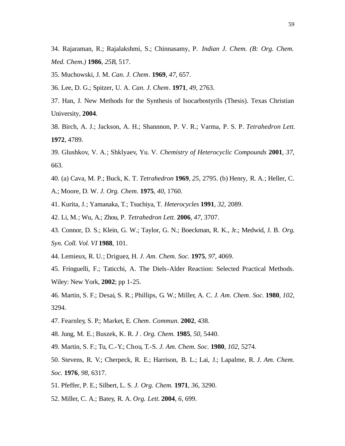34. Rajaraman, R.; Rajalakshmi, S.; Chinnasamy, P. *Indian J. Chem. (B: Org. Chem. Med. Chem.)* **1986**, *25B*, 517.

35. Muchowski, J. M. *Can. J. Chem.* **1969**, *47*, 657.

36. Lee, D. G.; Spitzer, U. A. *Can. J. Chem.* **1971**, *49*, 2763.

- 37. Han, J. New Methods for the Synthesis of Isocarbostyrils (Thesis). Texas Christian University, **2004**.
- 38. Birch, A. J.; Jackson, A. H.; Shannnon, P. V. R.; Varma, P. S. P. *Tetrahedron Lett.* **1972**, 4789.
- 39. Glushkov, V. A.; Shklyaev, Yu. V. *Chemistry of Heterocyclic Compounds* **2001**, *37*, 663.
- 40. (a) Cava, M. P.; Buck, K. T. *Tetrahedron* **1969**, *25*, 2795. (b) Henry, R. A.; Heller, C. A.; Moore, D. W. *J. Org. Chem.* **1975**, *40*, 1760.
- 41. Kurita, J.; Yamanaka, T.; Tsuchiya, T. *Heterocycles* **1991**, *32*, 2089.
- 42. Li, M.; Wu, A.; Zhou, P. *Tetrahedron Lett.* **2006**, *47*, 3707.
- 43. Connor, D. S.; Klein, G. W.; Taylor, G. N.; Boeckman, R. K., Jr.; Medwid, J. B. *Org. Syn. Coll. Vol. VI* **1988**, 101.
- 44. Lemieux, R. U.; Driguez, H. *J. Am. Chem. Soc.* **1975**, *97*, 4069.
- 45. Fringuelli, F.; Taticchi, A. The Diels-Alder Reaction: Selected Practical Methods. Wiley: New York, **2002**; pp 1-25.
- 46. Martin, S. F.; Desai, S. R.; Phillips, G. W.; Miller, A. C. *J. Am. Chem. Soc.* **1980**, *102*, 3294.
- 47. Fearnley, S. P.; Market, E. *Chem. Commun.* **2002**, 438.
- 48. Jung, M. E.; Buszek, K. R. *J . Org. Chem.* **1985**, *50*, 5440.
- 49. Martin, S. F.; Tu, C.-Y.; Chou, T.-S. *J. Am. Chem. Soc.* **1980**, *102*, 5274.
- 50. Stevens, R. V.; Cherpeck, R. E.; Harrison, B. L.; Lai, J.; Lapalme, R. *J. Am. Chem. Soc.* **1976**, *98*, 6317.
- 51. Pfeffer, P. E.; Silbert, L. S. *J. Org. Chem.* **1971**, *36*, 3290.
- 52. Miller, C. A.; Batey, R. A. *Org. Lett.* **2004**, *6*, 699.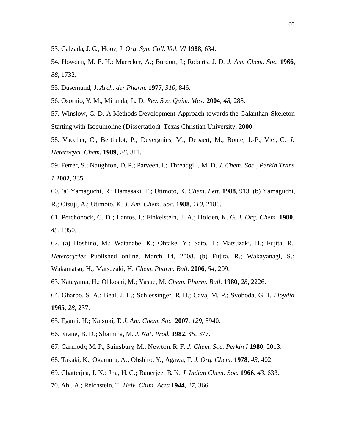- 53. Calzada, J. G.; Hooz, J. *Org. Syn. Coll. Vol. VI* **1988**, 634.
- 54. Howden, M. E. H.; Maercker, A.; Burdon, J.; Roberts, J. D. *J. Am. Chem. Soc.* **1966**, *88*, 1732.
- 55. Dusemund, J. *Arch. der Pharm.* **1977**, *310*, 846.
- 56. Osornio, Y. M.; Miranda, L. D. *Rev. Soc. Quim. Mex.* **2004**, *48*, 288.
- 57. Winslow, C. D. A Methods Development Approach towards the Galanthan Skeleton Starting with Isoquinoline (Dissertation). Texas Christian University, **2000**.
- 58. Vaccher, C.; Berthelot, P.; Devergnies, M.; Debaert, M.; Bonte, J.-P.; Viel, C. *J. Heterocycl. Chem.* **1989**, *26*, 811.
- 59. Ferrer, S.; Naughton, D. P.; Parveen, I.; Threadgill, M. D. *J. Chem. Soc., Perkin Trans. 1* **2002**, 335.
- 60. (a) Yamaguchi, R.; Hamasaki, T.; Utimoto, K. *Chem. Lett.* **1988**, 913. (b) Yamaguchi, R.; Otsuji, A.; Utimoto, K. *J. Am. Chem. Soc.* **1988**, *110*, 2186.
- 61. Perchonock, C. D.; Lantos, I.; Finkelstein, J. A.; Holden, K. G. *J. Org. Chem.* **1980**, *45*, 1950.
- 62. (a) Hoshino, M.; Watanabe, K.; Ohtake, Y.; Sato, T.; Matsuzaki, H.; Fujita, R. *Heterocycles* Published online, March 14, 2008. (b) Fujita, R.; Wakayanagi, S.; Wakamatsu, H.; Matsuzaki, H. *Chem. Pharm. Bull.* **2006**, *54*, 209.
- 63. Katayama, H.; Ohkoshi, M.; Yasue, M. *Chem. Pharm. Bull.* **1980**, *28*, 2226.
- 64. Gharbo, S. A.; Beal, J. L.; Schlessinger, R. H.; Cava, M. P.; Svoboda, G. H. *Lloydia* **1965**, *28*, 237.
- 65. Egami, H.; Katsuki, T. *J. Am. Chem. Soc.* **2007**, *129*, 8940.
- 66. Krane, B. D.; Shamma, M. *J. Nat. Prod.* **1982**, *45*, 377.
- 67. Carmody, M. P.; Sainsbury, M.; Newton, R. F. *J. Chem. Soc. Perkin I* **1980**, 2013.
- 68. Takaki, K.; Okamura, A.; Ohshiro, Y.; Agawa, T. *J. Org. Chem.* **1978**, *43*, 402.
- 69. Chatterjea, J. N.; Jha, H. C.; Banerjee, B. K. *J. Indian Chem. Soc.* **1966**, *43*, 633.
- 70. Ahl, A.; Reichstein, T. *Helv. Chim. Acta* **1944**, *27*, 366.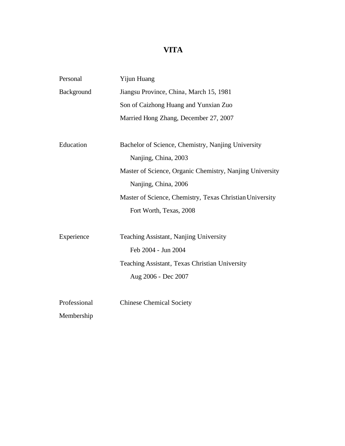# **VITA**

| Personal     | Yijun Huang                                              |
|--------------|----------------------------------------------------------|
| Background   | Jiangsu Province, China, March 15, 1981                  |
|              | Son of Caizhong Huang and Yunxian Zuo                    |
|              | Married Hong Zhang, December 27, 2007                    |
|              |                                                          |
| Education    | Bachelor of Science, Chemistry, Nanjing University       |
|              | Nanjing, China, 2003                                     |
|              | Master of Science, Organic Chemistry, Nanjing University |
|              | Nanjing, China, 2006                                     |
|              | Master of Science, Chemistry, Texas Christian University |
|              | Fort Worth, Texas, 2008                                  |
|              |                                                          |
| Experience   | Teaching Assistant, Nanjing University                   |
|              | Feb 2004 - Jun 2004                                      |
|              | Teaching Assistant, Texas Christian University           |
|              | Aug 2006 - Dec 2007                                      |
|              |                                                          |
| Professional | <b>Chinese Chemical Society</b>                          |
| Membership   |                                                          |